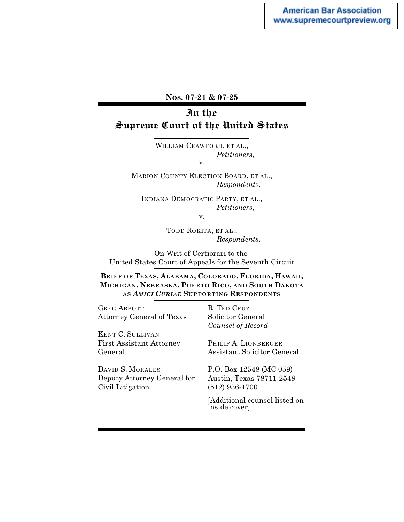### **Nos. 07-21 & 07-25**

# In the Supreme Court of the United States

WILLIAM CRAWFORD, ET AL., *Petitioners*, v.

MARION COUNTY ELECTION BOARD, ET AL., *Respondent*s.

INDIANA DEMOCRATIC PARTY, ET AL., *Petitioners*,

v.

TODD ROKITA, ET AL., *Respondents*.

On Writ of Certiorari to the United States Court of Appeals for the Seventh Circuit

**BRIEF OF TEXAS, ALABAMA, COLORADO, FLORIDA, HAWAII, MICHIGAN, NEBRASKA, PUERTO RICO, AND SOUTH DAKOTA AS** *AMICI CURIAE* **SUPPORTING RESPONDENTS**

GREG ABBOTT Attorney General of Texas

KENT C. SULLIVAN First Assistant Attorney General

DAVID S. MORALES Deputy Attorney General for Civil Litigation

R. TED CRUZ Solicitor General *Counsel of Record*

PHILIP A. LIONBERGER Assistant Solicitor General

P.O. Box 12548 (MC 059) Austin, Texas 78711-2548 (512) 936-1700

[Additional counsel listed on inside cover]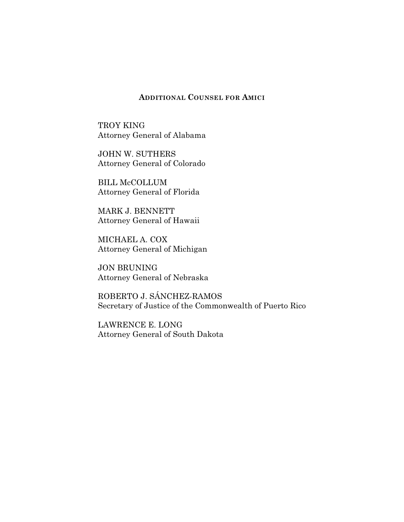### **ADDITIONAL COUNSEL FOR AMICI**

TROY KING Attorney General of Alabama

JOHN W. SUTHERS Attorney General of Colorado

BILL McCOLLUM Attorney General of Florida

MARK J. BENNETT Attorney General of Hawaii

MICHAEL A. COX Attorney General of Michigan

JON BRUNING Attorney General of Nebraska

ROBERTO J. SÁNCHEZ-RAMOS Secretary of Justice of the Commonwealth of Puerto Rico

LAWRENCE E. LONG Attorney General of South Dakota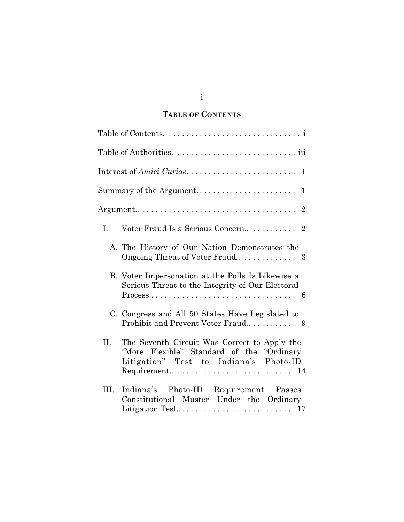# **TABLE OF CONTENTS**

|      | Interest of Amici Curiae<br>1                                                                                                                                                              |
|------|--------------------------------------------------------------------------------------------------------------------------------------------------------------------------------------------|
|      | Summary of the Argument<br>1                                                                                                                                                               |
|      |                                                                                                                                                                                            |
| I.   |                                                                                                                                                                                            |
|      | A. The History of Our Nation Demonstrates the                                                                                                                                              |
|      | B. Voter Impersonation at the Polls Is Likewise a<br>Serious Threat to the Integrity of Our Electoral<br>$Process \ldots \ldots \ldots \ldots \ldots \ldots \ldots \ldots \ldots \ldots 6$ |
|      | C. Congress and All 50 States Have Legislated to                                                                                                                                           |
| II.  | The Seventh Circuit Was Correct to Apply the<br>"More Flexible" Standard of the "Ordinary"<br>Litigation" Test to Indiana's Photo-ID                                                       |
| III. | Indiana's Photo-ID Requirement Passes<br>Constitutional Muster Under the Ordinary                                                                                                          |

i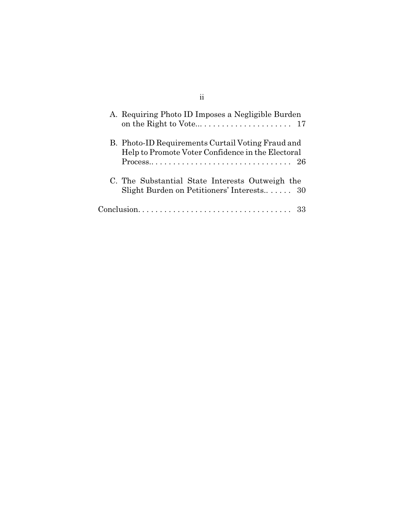| A. Requiring Photo ID Imposes a Negligible Burden                                                                                                                                            |
|----------------------------------------------------------------------------------------------------------------------------------------------------------------------------------------------|
| B. Photo-ID Requirements Curtail Voting Fraud and<br>Help to Promote Voter Confidence in the Electoral<br>$Process \ldots \ldots \ldots \ldots \ldots \ldots \ldots \ldots \ldots \ldots 26$ |
| C. The Substantial State Interests Outweigh the<br>Slight Burden on Petitioners' Interests 30                                                                                                |
|                                                                                                                                                                                              |

ii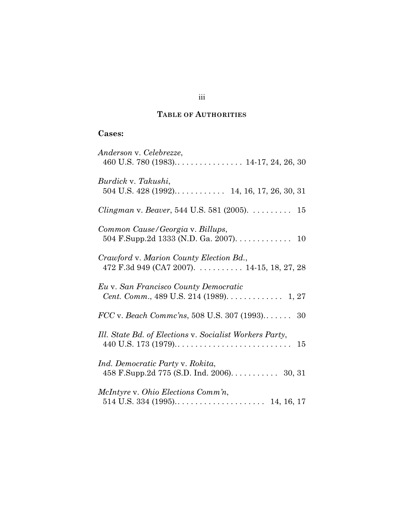# **TABLE OF AUTHORITIES**

# **Cases:**

| Anderson v. Celebrezze,                                                               |
|---------------------------------------------------------------------------------------|
| Burdick v. Takushi,                                                                   |
| <i>Clingman</i> v. <i>Beaver</i> , 544 U.S. 581 (2005). $\dots \dots \dots$ 15        |
| Common Cause/Georgia v. Billups,<br>504 F.Supp.2d 1333 (N.D. Ga. 2007). 10            |
| Crawford v. Marion County Election Bd.,<br>472 F.3d 949 (CA7 2007). 14-15, 18, 27, 28 |
| Eu v. San Francisco County Democratic<br>Cent. Comm., 489 U.S. 214 (1989). 1, 27      |
| $FCC$ v. Beach Commc'ns, 508 U.S. 307 (1993) 30                                       |
| Ill. State Bd. of Elections v. Socialist Workers Party,<br>15                         |
| Ind. Democratic Party v. Rokita,                                                      |
| McIntyre v. Ohio Elections Comm'n,                                                    |

# iii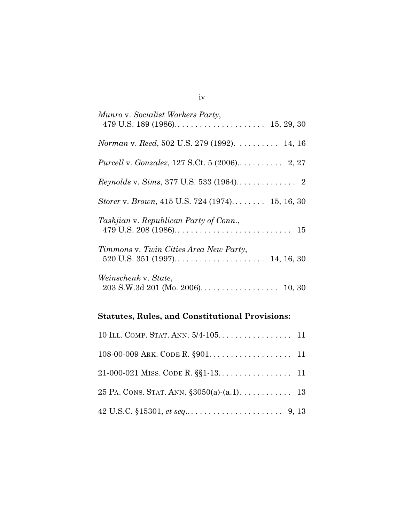| Munro v. Socialist Workers Party,                    |
|------------------------------------------------------|
| Norman v. Reed, 502 U.S. 279 (1992). 14, 16          |
| <i>Purcell v. Gonzalez, 127 S.Ct. 5 (2006)</i> 2, 27 |
|                                                      |
| Storer v. Brown, 415 U.S. 724 (1974) 15, 16, 30      |
| Tashjian v. Republican Party of Conn.,               |
| Timmons v. Twin Cities Area New Party,<br>14, 16, 30 |
| Weinschenk v. State,                                 |

# **Statutes, Rules, and Constitutional Provisions:**

| 25 PA. CONS. STAT. ANN. $\S 3050(a)$ - $(a.1)$ . 13                                          |  |
|----------------------------------------------------------------------------------------------|--|
| 42 U.S.C. $$15301, et seq \dots \dots \dots \dots \dots \dots \dots \dots \dots \dots \dots$ |  |

iv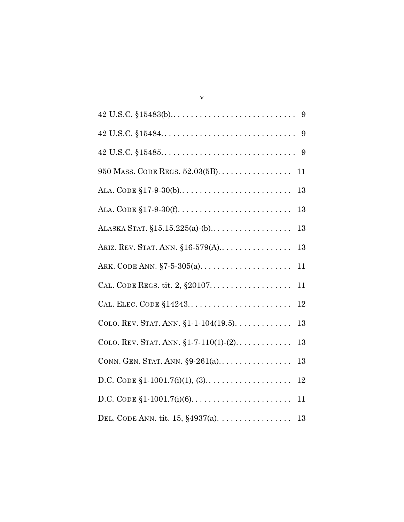| $42 \text{ U.S.C. } $15484. \ldots \ldots \ldots \ldots \ldots \ldots \ldots \ldots \ldots 9$ |
|-----------------------------------------------------------------------------------------------|
|                                                                                               |
| 950 MASS. CODE REGS. $52.03(5B)$<br>11                                                        |
| 13                                                                                            |
| 13                                                                                            |
| 13                                                                                            |
| ARIZ. REV. STAT. ANN. $$16-579(A)$<br>13                                                      |
| ARK. CODE ANN. $\S 7 - 5 - 305(a)$<br>11                                                      |
| CAL. CODE REGS. tit. 2, §20107<br>11                                                          |
| CAL. ELEC. CODE §14243<br>12                                                                  |
| COLO. REV. STAT. ANN. $$1-104(19.5)$ .<br>$13\,$                                              |
| COLO. REV. STAT. ANN. $$1-7-110(1)-(2)$<br>13                                                 |
| CONN. GEN. STAT. ANN. $\S 9-261(a)$<br>13                                                     |
| $12\,$                                                                                        |
| 11                                                                                            |
| DEL. CODE ANN. tit. 15, $§4937(a)$ . 13                                                       |

v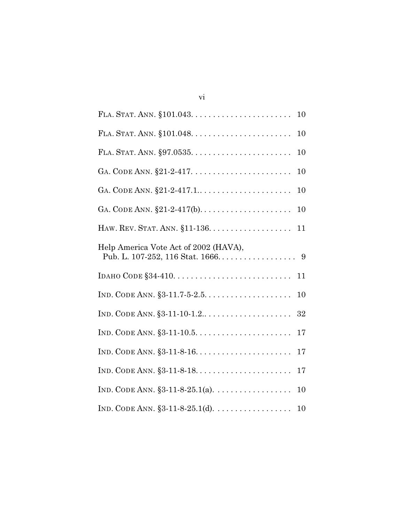| 10                                         |
|--------------------------------------------|
| 10                                         |
| 10                                         |
| 10                                         |
| 10                                         |
| 10                                         |
| 11                                         |
| Help America Vote Act of 2002 (HAVA),      |
| 11                                         |
| 10                                         |
| 32                                         |
| 17                                         |
| 17                                         |
| 17                                         |
| 10                                         |
| IND. CODE ANN. $\S 3-11-8-25.1(d)$ .<br>10 |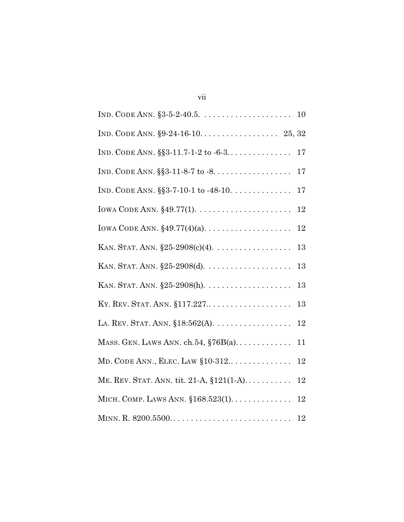|                                                  | 17     |
|--------------------------------------------------|--------|
| IND. CODE ANN. $\S$ §3-7-10-1 to -48-10.         | 17     |
|                                                  | 12     |
|                                                  | 12     |
| KAN. STAT. ANN. $$25-2908(c)(4)$ .               | 13     |
|                                                  | 13     |
|                                                  | 13     |
| KY. REV. STAT. ANN. §117.227                     | 13     |
| LA. REV. STAT. ANN. $$18:562(A).$                | 12     |
| MASS. GEN. LAWS ANN. ch.54, $$76B(a)$            | 11     |
| $MD. CODE ANN., ELEC. LAW §10-312 \ldots \ldots$ | 12     |
| ME. REV. STAT. ANN. tit. 21-A, §121(1-A)         | $12\,$ |
| MICH. COMP. LAWS ANN. $$168.523(1)$              | 12     |
|                                                  |        |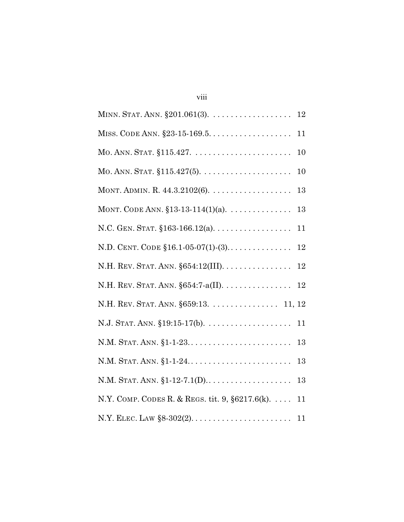| MINN. STAT. ANN. §201.061(3). 12                                       |
|------------------------------------------------------------------------|
| MISS. CODE ANN. $\S 23 - 15 - 169.5 \ldots \ldots \ldots \ldots$<br>11 |
| 10                                                                     |
| 10                                                                     |
| 13                                                                     |
| MONT. CODE ANN. $$13-13-114(1)(a)$ .<br>13                             |
| N.C. GEN. STAT. $$163-166.12(a)$<br>11                                 |
| N.D. CENT. CODE $$16.1-05-07(1)-(3)$<br>$12\,$                         |
| N.H. REV. STAT. ANN. §654:12(III).<br>$12\,$                           |
| N.H. REV. STAT. ANN. $\S 654$ :7-a(II).<br>$12\,$                      |
| N.H. REV. STAT. ANN. §659:13. 11, 12                                   |
|                                                                        |
| N.M. STAT. ANN. §1-1-23<br>13                                          |
| N.M. STAT. ANN. §1-1-24<br>13                                          |
| 13                                                                     |
| N.Y. COMP. CODES R. & REGS. tit. 9, $\S6217.6(k)$ .<br>11              |
|                                                                        |

viii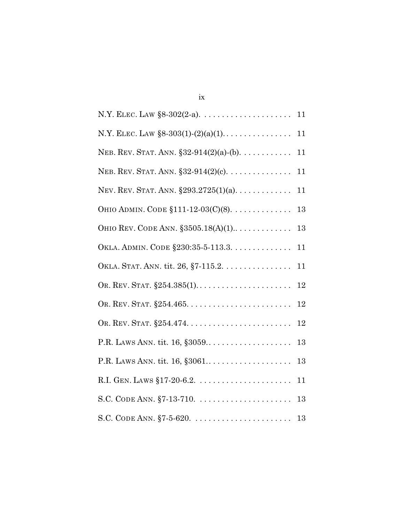| NEB. REV. STAT. ANN. $$32-914(2)(a)-(b)$ . | 11 |
|--------------------------------------------|----|
| NEB. REV. STAT. ANN. $$32-914(2)(c)$ .     | 11 |
| NEV. REV. STAT. ANN. $$293.2725(1)(a)$     | 11 |
| OHIO ADMIN. CODE §111-12-03(C)(8).         | 13 |
| OHIO REV. CODE ANN. $$3505.18(A)(1)$       | 13 |
| OKLA. ADMIN. CODE §230:35-5-113.3.         | 11 |
| OKLA. STAT. ANN. tit. 26, §7-115.2.        | 11 |
|                                            | 12 |
|                                            | 12 |
|                                            | 12 |
| P.R. LAWS ANN. tit. 16, §3059              | 13 |
| P.R. LAWS ANN. tit. 16, §3061              | 13 |
|                                            | 11 |
|                                            | 13 |
|                                            |    |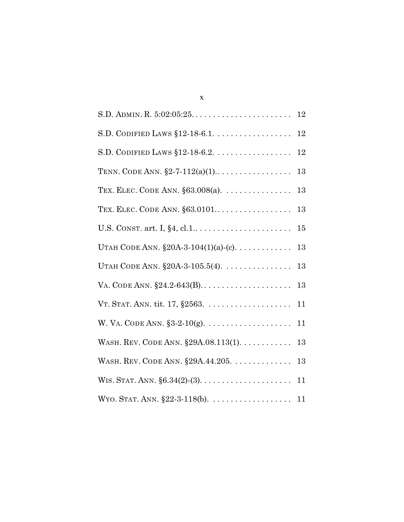| S.D. CODIFIED LAWS $$12-18-6.1$                                             | 12 |
|-----------------------------------------------------------------------------|----|
|                                                                             | 12 |
| TENN. CODE ANN. $\S$ 2-7-112(a)(1)                                          | 13 |
| TEX. ELEC. CODE ANN. $\S 63.008(a)$ .                                       | 13 |
| TEX. ELEC. CODE ANN. §63.0101                                               | 13 |
|                                                                             | 15 |
| UTAH CODE ANN. $$20A-3-104(1)(a)-(c)$ .                                     | 13 |
| UTAH CODE ANN. $\S 20A-3-105.5(4)$ .                                        | 13 |
|                                                                             | 13 |
| VT. STAT. ANN. tit. $17, \, \S 2563. \, \ldots \ldots \ldots \ldots \ldots$ | 11 |
| W. VA. CODE ANN. $$3-2-10(g)$ .                                             | 11 |
| WASH. REV. CODE ANN. §29A.08.113(1).                                        | 13 |
| WASH. REV. CODE ANN. §29A.44.205.                                           | 13 |
|                                                                             | 11 |
|                                                                             |    |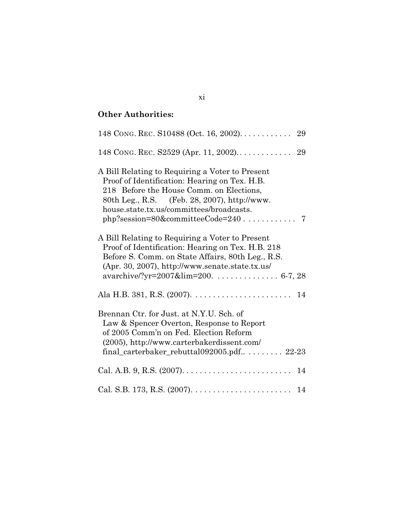# **Other Authorities:**

| A Bill Relating to Requiring a Voter to Present<br>Proof of Identification: Hearing on Tex. H.B.<br>218 Before the House Comm. on Elections,<br>80th Leg., R.S. (Feb. 28, 2007), http://www.<br>house.state.tx.us/committees/broadcasts.             |
|------------------------------------------------------------------------------------------------------------------------------------------------------------------------------------------------------------------------------------------------------|
| A Bill Relating to Requiring a Voter to Present<br>Proof of Identification: Hearing on Tex. H.B. 218<br>Before S. Comm. on State Affairs, 80th Leg., R.S.<br>(Apr. 30, 2007), http://www.senate.state.tx.us/<br>avarchive/?yr=2007&lim=200.  6-7, 28 |
|                                                                                                                                                                                                                                                      |
| Brennan Ctr. for Just. at N.Y.U. Sch. of<br>Law & Spencer Overton, Response to Report<br>of 2005 Comm'n on Fed. Election Reform<br>(2005), http://www.carterbakerdissent.com/<br>final_carterbaker_rebuttal092005.pdf $\ldots \ldots$ 22-23          |
|                                                                                                                                                                                                                                                      |
|                                                                                                                                                                                                                                                      |

xi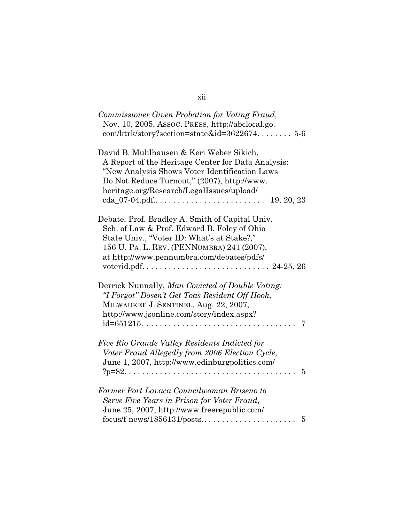| Commissioner Given Probation for Voting Fraud,     |
|----------------------------------------------------|
| Nov. 10, 2005, Assoc. PRESS, http://abclocal.go.   |
| $com/ktrk/story?section=state&id=362267456$        |
|                                                    |
| David B. Muhlhausen & Keri Weber Sikich,           |
| A Report of the Heritage Center for Data Analysis: |
| "New Analysis Shows Voter Identification Laws      |
| Do Not Reduce Turnout," (2007), http://www.        |
|                                                    |
| heritage.org/Research/LegalIssues/upload/          |
| 19, 20, 23                                         |
| Debate, Prof. Bradley A. Smith of Capital Univ.    |
| Sch. of Law & Prof. Edward B. Foley of Ohio        |
|                                                    |
| State Univ., "Voter ID: What's at Stake?,"         |
| 156 U. PA. L. REV. (PENNUMBRA) 241 (2007),         |
| at http://www.pennumbra.com/debates/pdfs/          |
|                                                    |
|                                                    |
| Derrick Nunnally, Man Covicted of Double Voting:   |
| "I Forgot" Dosen't Get Toas Resident Off Hook,     |
| MILWAUKEE J. SENTINEL, Aug. 22, 2007,              |
| http://www.jsonline.com/story/index.aspx?          |
| 7                                                  |
|                                                    |
| Five Rio Grande Valley Residents Indicted for      |
| Voter Fraud Allegedly from 2006 Election Cycle,    |
| June 1, 2007, http://www.edinburgpolitics.com/     |
| $\overline{5}$                                     |
| Former Port Lavaca Councilwoman Briseno to         |
|                                                    |
| Serve Five Years in Prison for Voter Fraud,        |
| June 25, 2007, http://www.freerepublic.com/        |
| 5                                                  |

# xii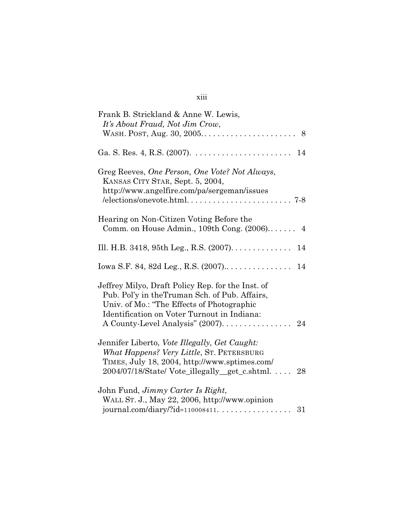| Frank B. Strickland & Anne W. Lewis,<br>It's About Fraud, Not Jim Crow,                                                                                                                          |  |
|--------------------------------------------------------------------------------------------------------------------------------------------------------------------------------------------------|--|
|                                                                                                                                                                                                  |  |
| Ga. S. Res. 4, R.S. (2007). $\dots \dots \dots \dots \dots \dots \dots \dots \dots \dots \dots \dots 14$                                                                                         |  |
| Greg Reeves, One Person, One Vote? Not Always,<br>KANSAS CITY STAR, Sept. 5, 2004,<br>http://www.angelfire.com/pa/sergeman/issues                                                                |  |
| Hearing on Non-Citizen Voting Before the<br>Comm. on House Admin., 109th Cong. (2006) 4                                                                                                          |  |
| Ill. H.B. 3418, 95th Leg., R.S. (2007). 14                                                                                                                                                       |  |
|                                                                                                                                                                                                  |  |
| Jeffrey Milyo, Draft Policy Rep. for the Inst. of<br>Pub. Pol'y in the Truman Sch. of Pub. Affairs,<br>Univ. of Mo.: "The Effects of Photographic<br>Identification on Voter Turnout in Indiana: |  |
| Jennifer Liberto, Vote Illegally, Get Caught:<br>What Happens? Very Little, ST. PETERSBURG<br>TIMES, July 18, 2004, http://www.sptimes.com/<br>2004/07/18/State/ Vote_illegally_get_c.shtml 28   |  |
| John Fund, <i>Jimmy Carter Is Right</i> ,<br>WALL ST. J., May 22, 2006, http://www.opinion<br>journal.com/diary/?id=110008411. 31                                                                |  |

# xiii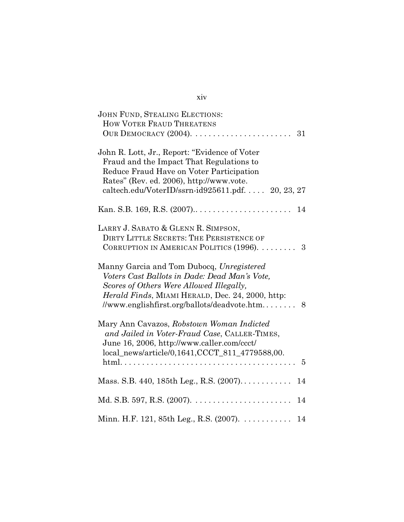| <b>JOHN FUND, STEALING ELECTIONS:</b><br>HOW VOTER FRAUD THREATENS                                                                                                                                                                                                                                     |
|--------------------------------------------------------------------------------------------------------------------------------------------------------------------------------------------------------------------------------------------------------------------------------------------------------|
| John R. Lott, Jr., Report: "Evidence of Voter<br>Fraud and the Impact That Regulations to<br>Reduce Fraud Have on Voter Participation<br>Rates" (Rev. ed. 2006), http://www.vote.<br>caltech.edu/VoterID/ssrn-id925611.pdf.  20, 23, 27                                                                |
|                                                                                                                                                                                                                                                                                                        |
| LARRY J. SABATO & GLENN R. SIMPSON,<br>DIRTY LITTLE SECRETS: THE PERSISTENCE OF<br>CORRUPTION IN AMERICAN POLITICS (1996).  3                                                                                                                                                                          |
| Manny Garcia and Tom Dubocq, Unregistered<br>Voters Cast Ballots in Dade: Dead Man's Vote,<br>Scores of Others Were Allowed Illegally,<br>Herald Finds, MIAMI HERALD, Dec. 24, 2000, http:<br>//www.englishfirst.org/ballots/deadvote.htm 8                                                            |
| Mary Ann Cavazos, Robstown Woman Indicted<br>and Jailed in Voter-Fraud Case, CALLER-TIMES,<br>June 16, 2006, http://www.caller.com/ccct/<br>local_news/article/0,1641,CCCT_811_4779588,00.<br>$\text{html.} \dots \dots \dots \dots \dots \dots \dots \dots \dots \dots \dots \dots \dots \dots \dots$ |
| Mass. S.B. 440, 185th Leg., R.S. $(2007)$<br>14                                                                                                                                                                                                                                                        |
|                                                                                                                                                                                                                                                                                                        |
| Minn. H.F. 121, 85th Leg., R.S. (2007).<br>14                                                                                                                                                                                                                                                          |

# xiv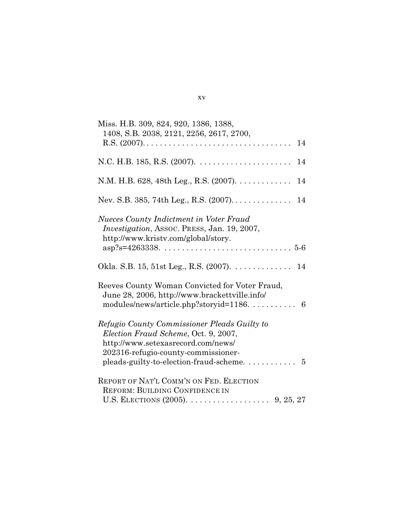| Miss. H.B. 309, 824, 920, 1386, 1388,<br>1408, S.B. 2038, 2121, 2256, 2617, 2700,<br>14                                                                                                                                     |
|-----------------------------------------------------------------------------------------------------------------------------------------------------------------------------------------------------------------------------|
|                                                                                                                                                                                                                             |
| 14                                                                                                                                                                                                                          |
|                                                                                                                                                                                                                             |
| <b>Nueces County Indictment in Voter Fraud</b><br><i>Investigation</i> , ASSOC. PRESS, Jan. 19, 2007,<br>http://www.kristv.com/global/story.<br>$asp?s=4263338 \ldots \ldots \ldots \ldots \ldots \ldots \ldots \ldots 5.6$ |
| Okla. S.B. 15, 51st Leg., R.S. $(2007)$ . 14                                                                                                                                                                                |
| Reeves County Woman Convicted for Voter Fraud,<br>June 28, 2006, http://www.brackettville.info/<br>modules/news/article.php?storyid=1186.  6                                                                                |
| Refugio County Commissioner Pleads Guilty to<br>Election Fraud Scheme, Oct. 9, 2007,<br>http://www.setexasrecord.com/news/<br>202316-refugio-county-commissioner-<br>pleads-guilty-to-election-fraud-scheme 5               |
| REPORT OF NAT'L COMM'N ON FED. ELECTION<br><b>REFORM: BUILDING CONFIDENCE IN</b>                                                                                                                                            |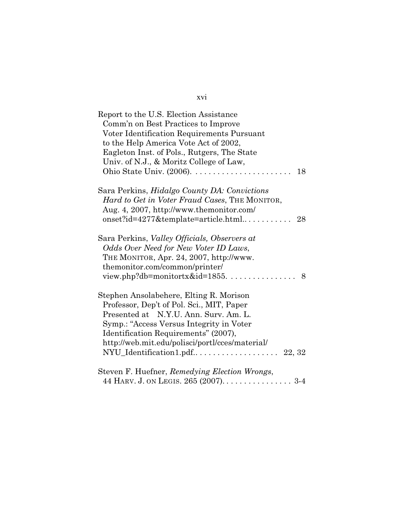| Report to the U.S. Election Assistance                |
|-------------------------------------------------------|
| Comm'n on Best Practices to Improve                   |
| Voter Identification Requirements Pursuant            |
| to the Help America Vote Act of 2002,                 |
| Eagleton Inst. of Pols., Rutgers, The State           |
| Univ. of N.J., & Moritz College of Law,               |
| 18                                                    |
| Sara Perkins, <i>Hidalgo County DA: Convictions</i>   |
| <i>Hard to Get in Voter Fraud Cases, THE MONITOR,</i> |
| Aug. 4, 2007, http://www.themonitor.com/              |
| $onset$ ?id=4277&template=article.html<br>28          |
| Sara Perkins, <i>Valley Officials, Observers at</i>   |
| Odds Over Need for New Voter ID Laws,                 |
| THE MONITOR, Apr. 24, 2007, http://www.               |
| themonitor.com/common/printer/                        |
| view.php?db=monitortx&id= $1855$<br>8                 |
| Stephen Ansolabehere, Elting R. Morison               |
| Professor, Dep't of Pol. Sci., MIT, Paper             |
| Presented at N.Y.U. Ann. Surv. Am. L.                 |
| Symp.: "Access Versus Integrity in Voter"             |
| Identification Requirements" (2007),                  |
| http://web.mit.edu/polisci/portl/cces/material/       |
|                                                       |
| Steven F. Huefner, Remedying Election Wrongs,         |
|                                                       |

xvi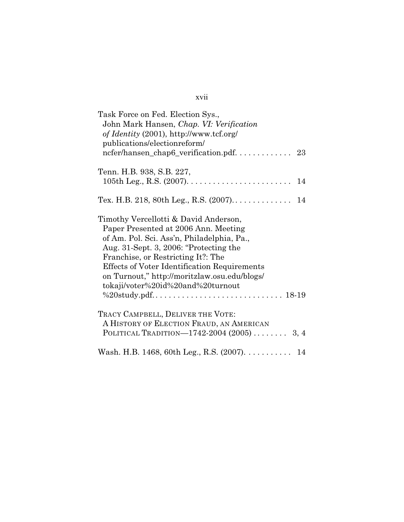| Task Force on Fed. Election Sys.,<br>John Mark Hansen, Chap. VI: Verification<br>of Identity (2001), http://www.tcf.org/<br>publications/electionreform/                                                                                                                                                                                         |
|--------------------------------------------------------------------------------------------------------------------------------------------------------------------------------------------------------------------------------------------------------------------------------------------------------------------------------------------------|
| ncfer/hansen_chap6_verification.pdf 23                                                                                                                                                                                                                                                                                                           |
| Tenn. H.B. 938, S.B. 227,                                                                                                                                                                                                                                                                                                                        |
|                                                                                                                                                                                                                                                                                                                                                  |
|                                                                                                                                                                                                                                                                                                                                                  |
| Timothy Vercellotti & David Anderson,<br>Paper Presented at 2006 Ann. Meeting<br>of Am. Pol. Sci. Ass'n, Philadelphia, Pa.,<br>Aug. 31-Sept. 3, 2006: "Protecting the<br>Franchise, or Restricting It?: The<br>Effects of Voter Identification Requirements<br>on Turnout," http://moritzlaw.osu.edu/blogs/<br>tokaji/voter%20id%20and%20turnout |
| TRACY CAMPBELL, DELIVER THE VOTE:<br>A HISTORY OF ELECTION FRAUD, AN AMERICAN<br>POLITICAL TRADITION—1742-2004 (2005)  3, 4                                                                                                                                                                                                                      |
| Wash. H.B. 1468, 60th Leg., R.S. $(2007)$ . 14                                                                                                                                                                                                                                                                                                   |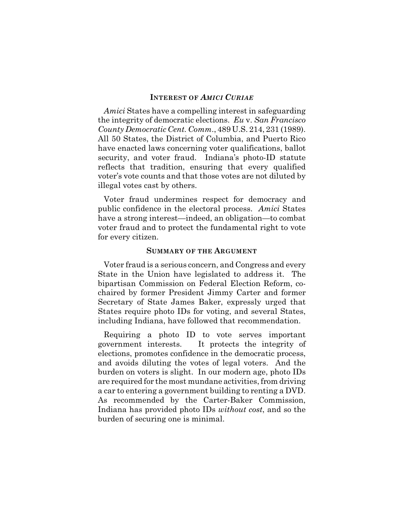#### **INTEREST OF** *AMICI CURIAE*

*Amici* States have a compelling interest in safeguarding the integrity of democratic elections. *Eu* v. *San Francisco County Democratic Cent. Comm*., 489 U.S. 214, 231 (1989). All 50 States, the District of Columbia, and Puerto Rico have enacted laws concerning voter qualifications, ballot security, and voter fraud. Indiana's photo-ID statute reflects that tradition, ensuring that every qualified voter's vote counts and that those votes are not diluted by illegal votes cast by others.

Voter fraud undermines respect for democracy and public confidence in the electoral process. *Amici* States have a strong interest—indeed, an obligation—to combat voter fraud and to protect the fundamental right to vote for every citizen.

#### **SUMMARY OF THE ARGUMENT**

Voter fraud is a serious concern, and Congress and every State in the Union have legislated to address it. The bipartisan Commission on Federal Election Reform, cochaired by former President Jimmy Carter and former Secretary of State James Baker, expressly urged that States require photo IDs for voting, and several States, including Indiana, have followed that recommendation.

Requiring a photo ID to vote serves important government interests. It protects the integrity of elections, promotes confidence in the democratic process, and avoids diluting the votes of legal voters. And the burden on voters is slight. In our modern age, photo IDs are required for the most mundane activities, from driving a car to entering a government building to renting a DVD. As recommended by the Carter-Baker Commission, Indiana has provided photo IDs *without cost*, and so the burden of securing one is minimal.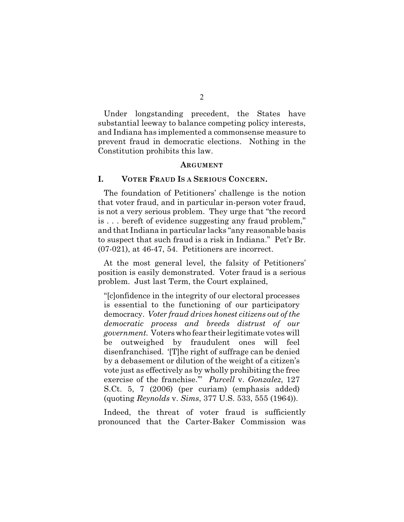Under longstanding precedent, the States have substantial leeway to balance competing policy interests, and Indiana has implemented a commonsense measure to prevent fraud in democratic elections. Nothing in the Constitution prohibits this law.

#### **ARGUMENT**

### **I. VOTER FRAUD IS A SERIOUS CONCERN.**

The foundation of Petitioners' challenge is the notion that voter fraud, and in particular in-person voter fraud, is not a very serious problem. They urge that "the record is . . . bereft of evidence suggesting any fraud problem," and that Indiana in particular lacks "any reasonable basis to suspect that such fraud is a risk in Indiana." Pet'r Br. (07-021), at 46-47, 54. Petitioners are incorrect.

At the most general level, the falsity of Petitioners' position is easily demonstrated. Voter fraud is a serious problem. Just last Term, the Court explained,

"[c]onfidence in the integrity of our electoral processes is essential to the functioning of our participatory democracy. *Voter fraud drives honest citizens out of the democratic process and breeds distrust of our government.* Voters who fear their legitimate votes will be outweighed by fraudulent ones will feel disenfranchised. '[T]he right of suffrage can be denied by a debasement or dilution of the weight of a citizen's vote just as effectively as by wholly prohibiting the free exercise of the franchise.'" *Purcell* v. *Gonzalez*, 127 S.Ct. 5, 7 (2006) (per curiam) (emphasis added) (quoting *Reynolds* v. *Sims*, 377 U.S. 533, 555 (1964)).

Indeed, the threat of voter fraud is sufficiently pronounced that the Carter-Baker Commission was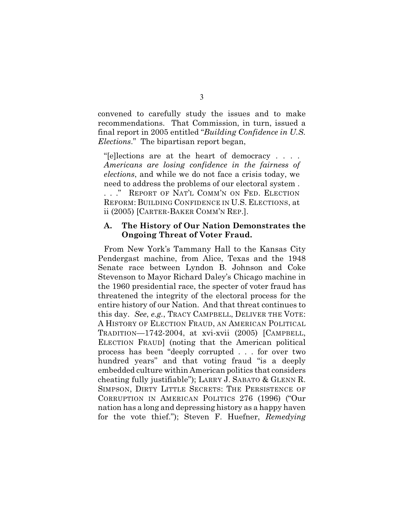convened to carefully study the issues and to make recommendations. That Commission, in turn, issued a final report in 2005 entitled "*Building Confidence in U.S. Elections*." The bipartisan report began,

"[e]lections are at the heart of democracy . . . . *Americans are losing confidence in the fairness of elections*, and while we do not face a crisis today, we need to address the problems of our electoral system .

. . ." REPORT OF NAT'L COMM'N ON FED. ELECTION REFORM: BUILDING CONFIDENCE IN U.S. ELECTIONS, at ii (2005) [CARTER-BAKER COMM'N REP.].

## **A. The History of Our Nation Demonstrates the Ongoing Threat of Voter Fraud.**

From New York's Tammany Hall to the Kansas City Pendergast machine, from Alice, Texas and the 1948 Senate race between Lyndon B. Johnson and Coke Stevenson to Mayor Richard Daley's Chicago machine in the 1960 presidential race, the specter of voter fraud has threatened the integrity of the electoral process for the entire history of our Nation. And that threat continues to this day. *See*, *e.g.*, TRACY CAMPBELL, DELIVER THE VOTE: A HISTORY OF ELECTION FRAUD, AN AMERICAN POLITICAL TRADITION—1742-2004, at xvi-xvii (2005) [CAMPBELL, ELECTION FRAUD] (noting that the American political process has been "deeply corrupted . . . for over two hundred years" and that voting fraud "is a deeply embedded culture within American politics that considers cheating fully justifiable"); LARRY J. SABATO & GLENN R. SIMPSON, DIRTY LITTLE SECRETS: THE PERSISTENCE OF CORRUPTION IN AMERICAN POLITICS 276 (1996) ("Our nation has a long and depressing history as a happy haven for the vote thief."); Steven F. Huefner, *Remedying*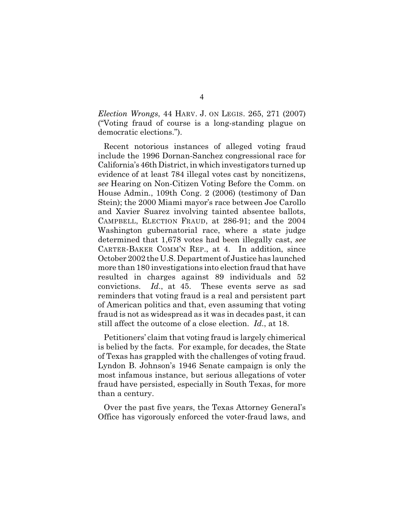*Election Wrongs*, 44 HARV. J. ON LEGIS. 265, 271 (2007) ("Voting fraud of course is a long-standing plague on democratic elections.").

Recent notorious instances of alleged voting fraud include the 1996 Dornan-Sanchez congressional race for California's 46th District, in which investigators turned up evidence of at least 784 illegal votes cast by noncitizens, *see* Hearing on Non-Citizen Voting Before the Comm. on House Admin., 109th Cong. 2 (2006) (testimony of Dan Stein); the 2000 Miami mayor's race between Joe Carollo and Xavier Suarez involving tainted absentee ballots, CAMPBELL, ELECTION FRAUD, at 286-91; and the 2004 Washington gubernatorial race, where a state judge determined that 1,678 votes had been illegally cast, *see* CARTER-BAKER COMM'N REP., at 4. In addition, since October 2002 the U.S. Department of Justice has launched more than 180 investigations into election fraud that have resulted in charges against 89 individuals and 52 convictions. *Id*., at 45. These events serve as sad reminders that voting fraud is a real and persistent part of American politics and that, even assuming that voting fraud is not as widespread as it was in decades past, it can still affect the outcome of a close election. *Id*., at 18.

Petitioners' claim that voting fraud is largely chimerical is belied by the facts. For example, for decades, the State of Texas has grappled with the challenges of voting fraud. Lyndon B. Johnson's 1946 Senate campaign is only the most infamous instance, but serious allegations of voter fraud have persisted, especially in South Texas, for more than a century.

Over the past five years, the Texas Attorney General's Office has vigorously enforced the voter-fraud laws, and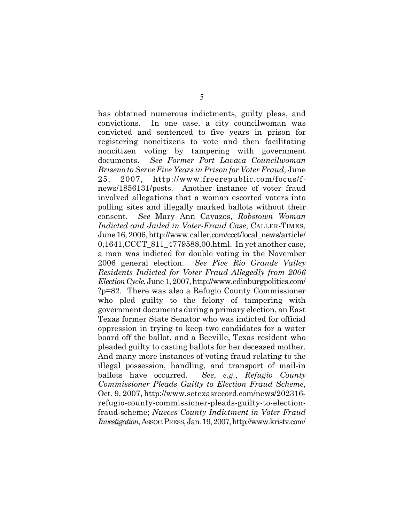has obtained numerous indictments, guilty pleas, and convictions. In one case, a city councilwoman was convicted and sentenced to five years in prison for registering noncitizens to vote and then facilitating noncitizen voting by tampering with government documents. *See Former Port Lavaca Councilwoman Briseno to Serve Five Years in Prison for Voter Fraud*, June 25, 2007, http://www.freerepublic.com/focus/fnews/1856131/posts. Another instance of voter fraud involved allegations that a woman escorted voters into polling sites and illegally marked ballots without their consent. *See* Mary Ann Cavazos, *Robstown Woman Indicted and Jailed in Voter-Fraud Case*, CALLER-TIMES, June 16, 2006, http://www.caller.com/ccct/local\_news/article/ 0,1641,CCCT\_811\_4779588,00.html. In yet another case, a man was indicted for double voting in the November 2006 general election. *See Five Rio Grande Valley Residents Indicted for Voter Fraud Allegedly from 2006 Election Cycle*, June 1, 2007, http://www.edinburgpolitics.com/ ?p=82. There was also a Refugio County Commissioner who pled guilty to the felony of tampering with government documents during a primary election, an East Texas former State Senator who was indicted for official oppression in trying to keep two candidates for a water board off the ballot, and a Beeville, Texas resident who pleaded guilty to casting ballots for her deceased mother. And many more instances of voting fraud relating to the illegal possession, handling, and transport of mail-in ballots have occurred. *See*, *e.g.*, *Refugio County Commissioner Pleads Guilty to Election Fraud Scheme*, Oct. 9, 2007, http://www.setexasrecord.com/news/202316 refugio-county-commissioner-pleads-guilty-to-electionfraud-scheme; *Nueces County Indictment in Voter Fraud Investigation*, ASSOC.PRESS, Jan. 19, 2007, http://www.kristv.com/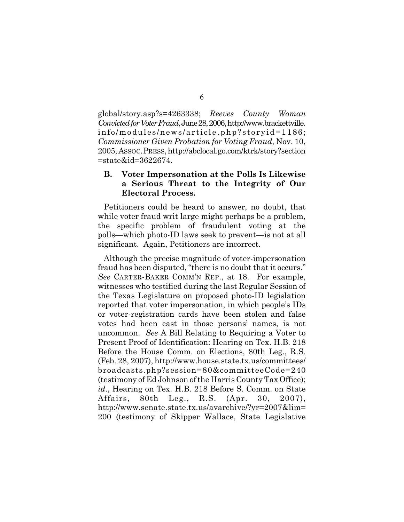global/story.asp?s=4263338; *Reeves County Woman Convicted for Voter Fraud*, June 28, 2006, http://www.brackettville. info/modules/news/article.php?storyid=1186; *Commissioner Given Probation for Voting Fraud*, Nov. 10, 2005, ASSOC.PRESS, http://abclocal.go.com/ktrk/story?section =state&id=3622674.

## **B. Voter Impersonation at the Polls Is Likewise a Serious Threat to the Integrity of Our Electoral Process.**

Petitioners could be heard to answer, no doubt, that while voter fraud writ large might perhaps be a problem, the specific problem of fraudulent voting at the polls—which photo-ID laws seek to prevent—is not at all significant. Again, Petitioners are incorrect.

Although the precise magnitude of voter-impersonation fraud has been disputed, "there is no doubt that it occurs." *See* CARTER-BAKER COMM'N REP., at 18. For example, witnesses who testified during the last Regular Session of the Texas Legislature on proposed photo-ID legislation reported that voter impersonation, in which people's IDs or voter-registration cards have been stolen and false votes had been cast in those persons' names, is not uncommon. *See* A Bill Relating to Requiring a Voter to Present Proof of Identification: Hearing on Tex. H.B. 218 Before the House Comm. on Elections, 80th Leg., R.S. (Feb. 28, 2007), http://www.house.state.tx.us/committees/ broadcasts.php?session=80&committeeCode=240 (testimony of Ed Johnson ofthe Harris County Tax Office); *id*., Hearing on Tex. H.B. 218 Before S. Comm. on State Affairs, 80th Leg., R.S. (Apr. 30, 2007), http://www.senate.state.tx.us/avarchive/?yr=2007&lim= 200 (testimony of Skipper Wallace, State Legislative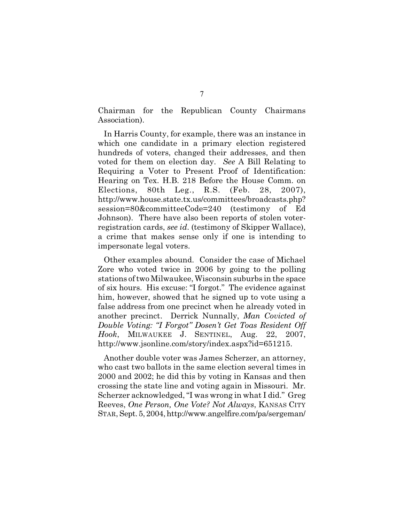Chairman for the Republican County Chairmans Association).

In Harris County, for example, there was an instance in which one candidate in a primary election registered hundreds of voters, changed their addresses, and then voted for them on election day. *See* A Bill Relating to Requiring a Voter to Present Proof of Identification: Hearing on Tex. H.B. 218 Before the House Comm. on Elections, 80th Leg., R.S. (Feb. 28, 2007), http://www.house.state.tx.us/committees/broadcasts.php? session=80&committeeCode=240 (testimony of Ed Johnson). There have also been reports of stolen voterregistration cards, *see id*. (testimony of Skipper Wallace), a crime that makes sense only if one is intending to impersonate legal voters.

Other examples abound. Consider the case of Michael Zore who voted twice in 2006 by going to the polling stations of two Milwaukee, Wisconsin suburbs in the space of six hours. His excuse: "I forgot." The evidence against him, however, showed that he signed up to vote using a false address from one precinct when he already voted in another precinct. Derrick Nunnally, *Man Covicted of Double Voting: "I Forgot" Dosen't Get Toas Resident Off Hook*, MILWAUKEE J. SENTINEL, Aug. 22, 2007, http://www.jsonline.com/story/index.aspx?id=651215.

Another double voter was James Scherzer, an attorney, who cast two ballots in the same election several times in 2000 and 2002; he did this by voting in Kansas and then crossing the state line and voting again in Missouri. Mr. Scherzer acknowledged, "I was wrong in what I did." Greg Reeves, *One Person, One Vote? Not Always*, KANSAS CITY STAR, Sept. 5, 2004, http://www.angelfire.com/pa/sergeman/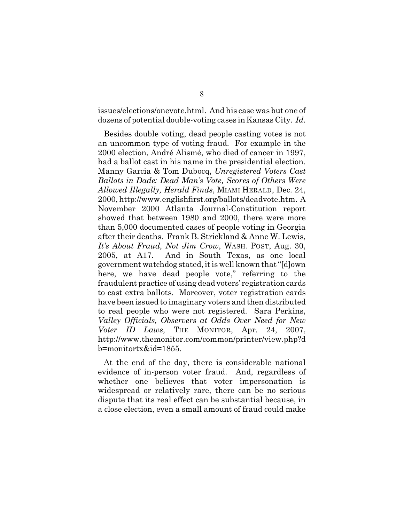issues/elections/onevote.html. And his case was but one of dozens of potential double-voting cases in Kansas City. *Id*.

Besides double voting, dead people casting votes is not an uncommon type of voting fraud. For example in the 2000 election, André Alismé, who died of cancer in 1997, had a ballot cast in his name in the presidential election. Manny Garcia & Tom Dubocq, *Unregistered Voters Cast Ballots in Dade: Dead Man's Vote, Scores of Others Were Allowed Illegally, Herald Finds*, MIAMI HERALD, Dec. 24, 2000, http://www.englishfirst.org/ballots/deadvote.htm. A November 2000 Atlanta Journal-Constitution report showed that between 1980 and 2000, there were more than 5,000 documented cases of people voting in Georgia after their deaths. Frank B. Strickland & Anne W. Lewis, *It's About Fraud, Not Jim Crow*, WASH. POST, Aug. 30, 2005, at A17. And in South Texas, as one local government watchdog stated, it is well known that "[d]own here, we have dead people vote," referring to the fraudulent practice of using dead voters' registration cards to cast extra ballots. Moreover, voter registration cards have been issued to imaginary voters and then distributed to real people who were not registered. Sara Perkins, *Valley Officials, Observers at Odds Over Need for New Voter ID Laws*, THE MONITOR, Apr. 24, 2007, http://www.themonitor.com/common/printer/view.php?d b=monitortx&id=1855.

At the end of the day, there is considerable national evidence of in-person voter fraud. And, regardless of whether one believes that voter impersonation is widespread or relatively rare, there can be no serious dispute that its real effect can be substantial because, in a close election, even a small amount of fraud could make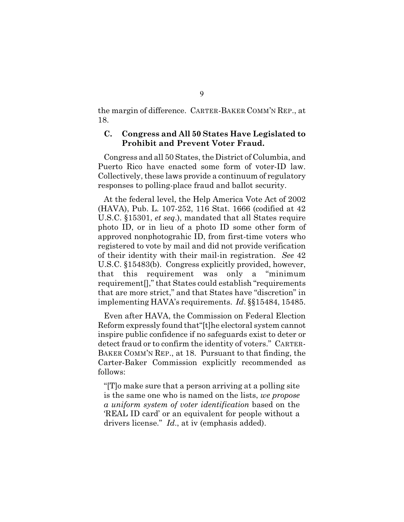the margin of difference. CARTER-BAKER COMM'N REP., at 18.

### **C. Congress and All 50 States Have Legislated to Prohibit and Prevent Voter Fraud.**

Congress and all 50 States, the District of Columbia, and Puerto Rico have enacted some form of voter-ID law. Collectively, these laws provide a continuum of regulatory responses to polling-place fraud and ballot security.

At the federal level, the Help America Vote Act of 2002 (HAVA), Pub. L. 107-252, 116 Stat. 1666 (codified at 42 U.S.C. §15301, *et seq*.), mandated that all States require photo ID, or in lieu of a photo ID some other form of approved nonphotograhic ID, from first-time voters who registered to vote by mail and did not provide verification of their identity with their mail-in registration. *See* 42 U.S.C. §15483(b). Congress explicitly provided, however, that this requirement was only a "minimum requirement[]," that States could establish "requirements that are more strict," and that States have "discretion" in implementing HAVA's requirements. *Id*. §§15484, 15485.

Even after HAVA, the Commission on Federal Election Reform expressly found that"[t]he electoral system cannot inspire public confidence if no safeguards exist to deter or detect fraud or to confirm the identity of voters." CARTER-BAKER COMM'N REP., at 18. Pursuant to that finding, the Carter-Baker Commission explicitly recommended as follows:

"[T]o make sure that a person arriving at a polling site is the same one who is named on the lists, *we propose a uniform system of voter identification* based on the 'REAL ID card' or an equivalent for people without a drivers license." *Id*., at iv (emphasis added).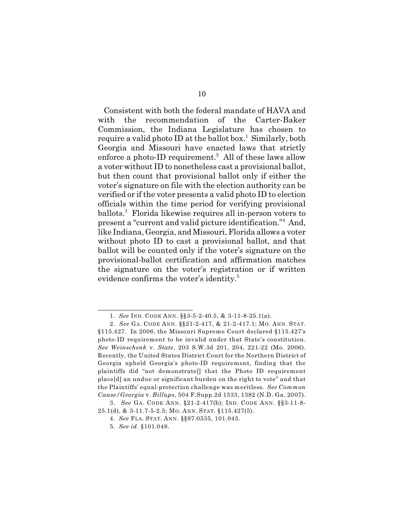Consistent with both the federal mandate of HAVA and with the recommendation of the Carter-Baker Commission, the Indiana Legislature has chosen to require a valid photo ID at the ballot box.<sup>1</sup> Similarly, both Georgia and Missouri have enacted laws that strictly enforce a photo-ID requirement.<sup>2</sup> All of these laws allow a voter without ID to nonetheless cast a provisional ballot, but then count that provisional ballot only if either the voter's signature on file with the election authority can be verified or if the voter presents a valid photo ID to election officials within the time period for verifying provisional ballots.<sup>3</sup> Florida likewise requires all in-person voters to present a "current and valid picture identification."<sup>4</sup> And, like Indiana, Georgia, and Missouri, Florida allows a voter without photo ID to cast a provisional ballot, and that ballot will be counted only if the voter's signature on the provisional-ballot certification and affirmation matches the signature on the voter's registration or if written evidence confirms the voter's identity.<sup>5</sup>

<sup>1.</sup> *See* IND. CODE ANN. §§3-5-2-40.5, & 3-11-8-25.1(a).

<sup>2.</sup> *See* GA. CODE ANN. §§21-2-417, & 21-2-417.1; MO. ANN. STAT. §115.427. In 2006, the Missouri Supreme Court declared §115.427's photo-ID requirement to be invalid under that State's constitution. *See Weinschenk* v. *State*, 203 S.W.3d 201, 204, 221-22 (Mo. 2006). Recently, the United States District Court for the Northern District of Georgia upheld Georgia's photo-ID requirement, finding that the plaintiffs did "not demonstrate[] that the Photo ID requirement place[d] an undue or significant burden on the right to vote" and that the Plaintiffs' equal-protection challenge was meritless. *See Common Cause/Georgia* v. *Billups*, 504 F.Supp.2d 1333, 1382 (N.D. Ga. 2007).

<sup>3.</sup> *See* GA. CODE ANN. §21-2-417(b); IND. CODE ANN. §§3-11-8-

<sup>25.1(</sup>d), & 3-11.7-5-2.5; MO. ANN. STAT. §115.427(5).

<sup>4.</sup> *See* FLA. STAT. ANN. §§97.0535, 101.043.

<sup>5.</sup> *See id*. §101.048.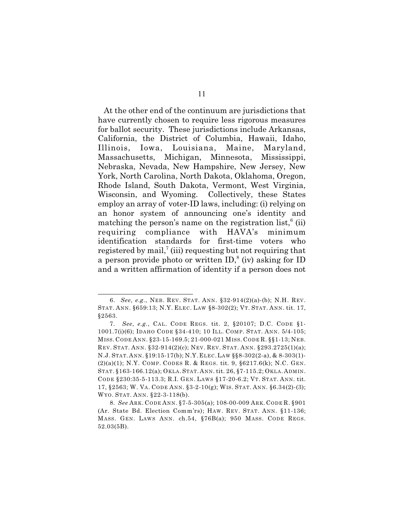At the other end of the continuum are jurisdictions that have currently chosen to require less rigorous measures for ballot security. These jurisdictions include Arkansas, California, the District of Columbia, Hawaii, Idaho, Illinois, Iowa, Louisiana, Maine, Maryland, Massachusetts, Michigan, Minnesota, Mississippi, Nebraska, Nevada, New Hampshire, New Jersey, New York, North Carolina, North Dakota, Oklahoma, Oregon, Rhode Island, South Dakota, Vermont, West Virginia, Wisconsin, and Wyoming. Collectively, these States employ an array of voter-ID laws, including: (i) relying on an honor system of announcing one's identity and matching the person's name on the registration list,<sup> $6$ </sup> (ii) requiring compliance with HAVA's minimum identification standards for first-time voters who registered by mail,<sup> $\tau$ </sup> (iii) requesting but not requiring that a person provide photo or written  $ID<sup>8</sup>$  (iv) asking for ID and a written affirmation of identity if a person does not

<sup>6.</sup> *See*, *e.g.*, NEB. REV. STAT. ANN. §32-914(2)(a)-(b); N.H. REV. STAT. ANN. §659:13; N.Y. ELEC. LAW §8-302(2); VT. STAT. ANN. tit. 17, §2563.

<sup>7.</sup> *See*, *e.g.*, CAL. CODE REGS. tit. 2, §20107; D.C. CODE §1- 1001.7(i)(6); IDAHO CODE §34-410; 10 ILL. COMP. STAT. ANN. 5/4-105; MISS. CODE ANN. §23-15-169.5; 21-000-021 MISS. CODE R. §§1-13; NEB. REV. STAT. ANN. §32-914(2)(c); NEV. REV. STAT. ANN. §293.2725(1)(a); N.J. STAT. ANN. §19:15-17(b); N.Y. ELEC.LAW §§8-302(2-a), & 8-303(1)- (2)(a)(1); N.Y. COMP. CODES R. & REGS. tit. 9, §6217.6(k); N.C. GEN. STAT. §163-166.12(a); OKLA. STAT. ANN. tit. 26, §7-115.2; OKLA. ADMIN. CODE §230:35-5-113.3; R.I. GEN. LAW S §17-20-6.2; VT. STAT. ANN. tit. 17, §2563; W. VA. CODE ANN. §3-2-10(g); WIS. STAT. ANN. §6.34(2)-(3); WYO. STAT. ANN. §22-3-118(b).

<sup>8.</sup> *See* ARK. CODE ANN. §7-5-305(a); 108-00-009 ARK. CODE R. §901 (Ar. State Bd. Election Comm'rs); HAW. REV. STAT. ANN. §11-136; MASS. GEN. LAWS ANN. ch.54, §76B(a); 950 MASS. CODE REGS. 52.03(5B).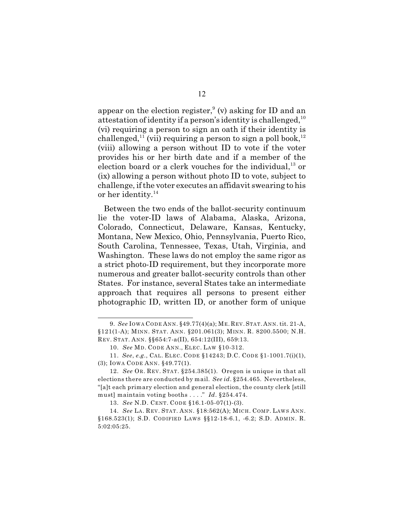appear on the election register,  $(v)$  asking for ID and an attestation of identity if a person's identity is challenged,  $10<sup>10</sup>$ (vi) requiring a person to sign an oath if their identity is challenged,  $\frac{1}{2}$  (vii) requiring a person to sign a poll book,  $\frac{1}{2}$ (viii) allowing a person without ID to vote if the voter provides his or her birth date and if a member of the election board or a clerk vouches for the individual, $^{13}$  or (ix) allowing a person without photo ID to vote, subject to challenge, if the voter executes an affidavit swearing to his or her identity. 14

Between the two ends of the ballot-security continuum lie the voter-ID laws of Alabama, Alaska, Arizona, Colorado, Connecticut, Delaware, Kansas, Kentucky, Montana, New Mexico, Ohio, Pennsylvania, Puerto Rico, South Carolina, Tennessee, Texas, Utah, Virginia, and Washington. These laws do not employ the same rigor as a strict photo-ID requirement, but they incorporate more numerous and greater ballot-security controls than other States. For instance, several States take an intermediate approach that requires all persons to present either photographic ID, written ID, or another form of unique

<sup>9.</sup> *See* IOWA CODE ANN. §49.77(4)(a); ME. REV. STAT. ANN. tit. 21-A, §121(1-A); MINN. STAT. ANN. §201.061(3); MINN. R. 8200.5500; N.H. REV. STAT. ANN. §§654:7-a(II), 654:12(III), 659:13.

<sup>10.</sup> *See* MD. CODE ANN., ELEC. LAW §10-312.

<sup>11.</sup> *See*, *e.g.*, CAL. ELEC. CODE §14243; D.C. CODE §1-1001.7(i)(1), (3); IOWA CODE ANN. §49.77(1).

<sup>12.</sup> *See* OR. REV. STAT. §254.385(1). Oregon is unique in that all elections there are conducted by mail. *See id*. §254.465. Nevertheless, "[a]t each primary election and general election, the county clerk [still must] maintain voting booths . . . ." *Id*. §254.474.

<sup>13.</sup> *See* N.D. CENT. CODE §16.1-05-07(1)-(3).

<sup>14.</sup> *See* LA. REV. STAT. ANN. §18:562(A); MICH. COMP. LAWS ANN. §168.523(1); S.D. CODIFIED LAWS §§12-18-6.1, -6.2; S.D. ADMIN. R. 5:02:05:25.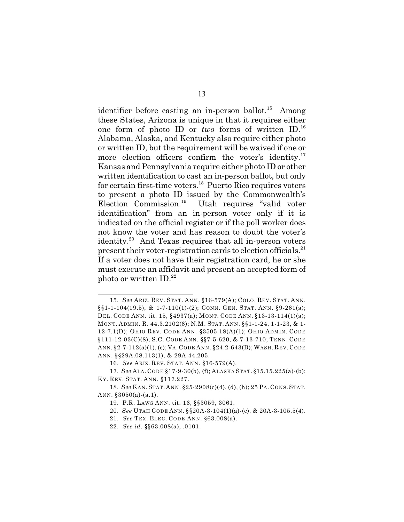identifier before casting an in-person ballot.<sup>15</sup> Among these States, Arizona is unique in that it requires either one form of photo ID or *two* forms of written ID.<sup>16</sup> Alabama, Alaska, and Kentucky also require either photo or written ID, but the requirement will be waived if one or more election officers confirm the voter's identity.<sup>17</sup> Kansas and Pennsylvania require either photo ID or other written identification to cast an in-person ballot, but only for certain first-time voters. $^{18}$  Puerto Rico requires voters to present a photo ID issued by the Commonwealth's Election Commission.<sup>19</sup> Utah requires "valid voter" identification" from an in-person voter only if it is indicated on the official register or if the poll worker does not know the voter and has reason to doubt the voter's identity.<sup>20</sup> And Texas requires that all in-person voters present their voter-registration cards to election officials. $^{21}$ If a voter does not have their registration card, he or she must execute an affidavit and present an accepted form of photo or written  $ID.^{22}$ 

<sup>15.</sup> *See* ARIZ. REV. STAT. ANN. §16-579(A); COLO. REV. STAT. ANN. §§1-1-104(19.5), & 1-7-110(1)-(2); CONN. GEN. STAT. ANN. §9-261(a); DEL. CODE ANN. tit. 15, §4937(a); MONT. CODE ANN. §13-13-114(1)(a); MONT. ADMIN. R. 44.3.2102(6); N.M. STAT. ANN. §§1-1-24, 1-1-23, & 1- 12-7.1(D); OHIO REV. CODE ANN. §3505.18(A)(1); OHIO ADMIN. CODE §111-12-03(C)(8); S.C. CODE ANN. §§7-5-620, & 7-13-710; TENN. CODE ANN. §2-7-112(a)(1), (c); VA. CODE ANN. §24.2-643(B); WASH. REV. CODE ANN. §§29A.08.113(1), & 29A.44.205.

<sup>16.</sup> *See* ARIZ. REV. STAT. ANN. §16-579(A).

<sup>17.</sup> *See* ALA. CODE §17-9-30(b), (f); ALASKA STAT. §15.15.225(a)-(b); KY. REV. STAT. ANN. §117.227.

<sup>18.</sup> *See* KAN. STAT. ANN. §25-2908(c)(4), (d), (h); 25 PA. CONS. STAT. ANN. §3050(a)-(a.1).

<sup>19.</sup> P.R. LAWS ANN. tit. 16, §§3059, 3061.

<sup>20.</sup> *See* UTAH CODE ANN. §§20A-3-104(1)(a)-(c), & 20A-3-105.5(4).

<sup>21.</sup> *See* TEX. ELEC. CODE ANN. §63.008(a).

<sup>22.</sup> *See id*. §§63.008(a), .0101.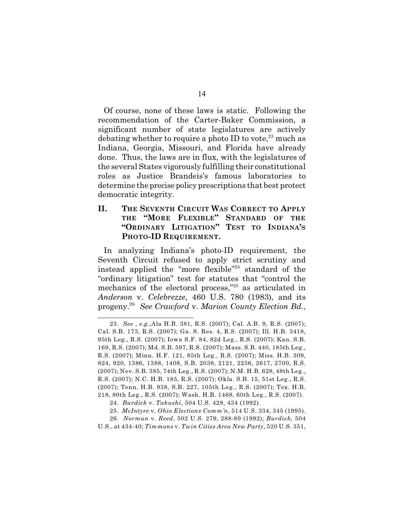Of course, none of these laws is static. Following the recommendation of the Carter-Baker Commission, a significant number of state legislatures are actively debating whether to require a photo ID to vote.<sup>23</sup> much as Indiana, Georgia, Missouri, and Florida have already done. Thus, the laws are in flux, with the legislatures of the several States vigorously fulfilling their constitutional roles as Justice Brandeis's famous laboratories to determine the precise policy prescriptions that best protect democratic integrity.

## **II. THE SEVENTH CIRCUIT WAS CORRECT TO APPLY THE "MORE FLEXIBLE" STANDARD OF THE "ORDINARY LITIGATION" TEST TO INDIANA'S PHOTO-ID REQUIREMENT.**

In analyzing Indiana's photo-ID requirement, the Seventh Circuit refused to apply strict scrutiny and instead applied the "more flexible"<sup>24</sup> standard of the "ordinary litigation" test for statutes that "control the mechanics of the electoral process," $25$  as articulated in *Anderson* v. *Celebrezze*, 460 U.S. 780 (1983), and its progeny. *See Crawford* v. *Marion County Election Bd.*, 26

<sup>23.</sup> *See* , *e.g.*,Ala H.B. 381, R.S. (2007); Cal. A.B. 9, R.S. (2007); Cal. S.B. 173, R.S. (2007); Ga. S. Res. 4, R.S. (2007); Ill. H.B. 3418, 95th Leg., R.S. (2007); Iowa S.F. 84, 82d Leg., R.S. (2007); Kan. S.B. 169, R.S. (2007); Md. S.B. 597, R.S. (2007); Mass. S.B. 440, 185th Leg., R.S. (2007); Minn. H.F. 121, 85th Leg., R.S. (2007); Miss. H.B. 309, 824, 920, 1386, 1388, 1408, S.B. 2038, 2121, 2256, 2617, 2700, R.S. (2007); Nev. S.B. 385, 74th Leg., R.S. (2007); N.M. H.B. 628, 48th Leg., R.S. (2007); N.C. H.B. 185, R.S. (2007); Okla. S.B. 15, 51st Leg., R.S. (2007); Tenn. H.B. 938, S.B. 227, 105th Leg., R.S. (2007); Tex. H.B. 218, 80th Leg., R.S. (2007); Wash. H.B. 1468, 60th Leg., R.S. (2007).

<sup>24.</sup> *Burdick* v. *Takushi*, 504 U.S. 428, 434 (1992).

<sup>25.</sup> *McIntyre* v. *Ohio Elections Comm'n*, 514 U.S. 334, 345 (1995).

<sup>26.</sup> *Norman* v. *Reed*, 502 U.S. 279, 288-89 (1992); *Burdick*, 504

U.S., at 434-40; *Timmons* v. *Twin Cities Area New Party*, 520 U.S. 351,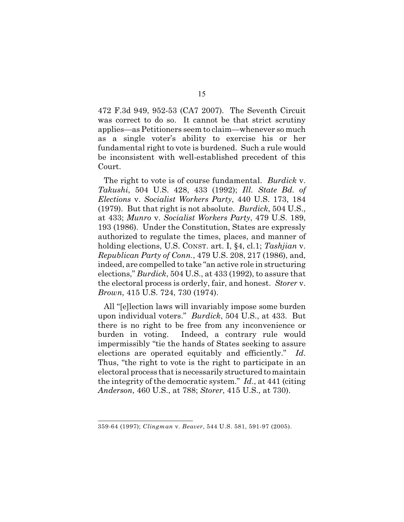472 F.3d 949, 952-53 (CA7 2007). The Seventh Circuit was correct to do so. It cannot be that strict scrutiny applies—as Petitioners seem to claim—whenever so much as a single voter's ability to exercise his or her fundamental right to vote is burdened. Such a rule would be inconsistent with well-established precedent of this Court.

The right to vote is of course fundamental. *Burdick* v. *Takushi*, 504 U.S. 428, 433 (1992); *Ill. State Bd. of Elections* v. *Socialist Workers Party*, 440 U.S. 173, 184 (1979). But that right is not absolute. *Burdick*, 504 U.S., at 433; *Munro* v. *Socialist Workers Party*, 479 U.S. 189, 193 (1986). Under the Constitution, States are expressly authorized to regulate the times, places, and manner of holding elections, U.S. CONST. art. I, §4, cl.1; *Tashjian* v. *Republican Party of Conn.*, 479 U.S. 208, 217 (1986), and, indeed, are compelled to take "an active role in structuring elections," *Burdick*, 504 U.S., at 433 (1992), to assure that the electoral process is orderly, fair, and honest. *Storer* v. *Brown*, 415 U.S. 724, 730 (1974).

All "[e]lection laws will invariably impose some burden upon individual voters." *Burdick*, 504 U.S., at 433. But there is no right to be free from any inconvenience or burden in voting. Indeed, a contrary rule would impermissibly "tie the hands of States seeking to assure elections are operated equitably and efficiently." *Id*. Thus, "the right to vote is the right to participate in an electoral process that is necessarily structured to maintain the integrity of the democratic system." *Id*., at 441 (citing *Anderson*, 460 U.S., at 788; *Storer*, 415 U.S., at 730).

<sup>359-64 (1997);</sup> *Clingman* v. *Beaver*, 544 U.S. 581, 591-97 (2005).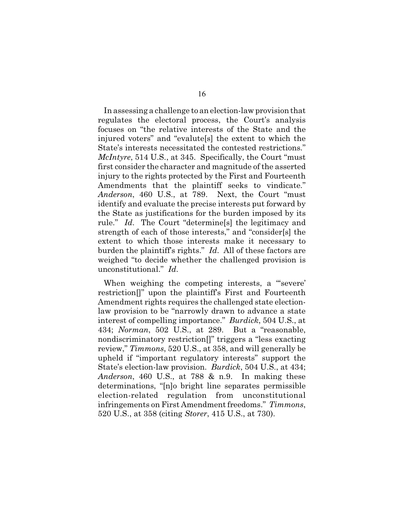In assessing a challenge to an election-law provision that regulates the electoral process, the Court's analysis focuses on "the relative interests of the State and the injured voters" and "evalute[s] the extent to which the State's interests necessitated the contested restrictions." *McIntyre*, 514 U.S., at 345. Specifically, the Court "must first consider the character and magnitude of the asserted injury to the rights protected by the First and Fourteenth Amendments that the plaintiff seeks to vindicate." *Anderson*, 460 U.S., at 789. Next, the Court "must identify and evaluate the precise interests put forward by the State as justifications for the burden imposed by its rule." *Id*. The Court "determine[s] the legitimacy and strength of each of those interests," and "consider[s] the extent to which those interests make it necessary to burden the plaintiff's rights." *Id*. All of these factors are weighed "to decide whether the challenged provision is unconstitutional." *Id*.

When weighing the competing interests, a "'severe' restriction[]" upon the plaintiff's First and Fourteenth Amendment rights requires the challenged state electionlaw provision to be "narrowly drawn to advance a state interest of compelling importance." *Burdick*, 504 U.S., at 434; *Norman*, 502 U.S., at 289. But a "reasonable, nondiscriminatory restriction[]" triggers a "less exacting review," *Timmons*, 520 U.S., at 358, and will generally be upheld if "important regulatory interests" support the State's election-law provision. *Burdick*, 504 U.S., at 434; *Anderson*, 460 U.S., at 788 & n.9. In making these determinations, "[n]o bright line separates permissible election-related regulation from unconstitutional infringements on First Amendment freedoms." *Timmons*, 520 U.S., at 358 (citing *Storer*, 415 U.S., at 730).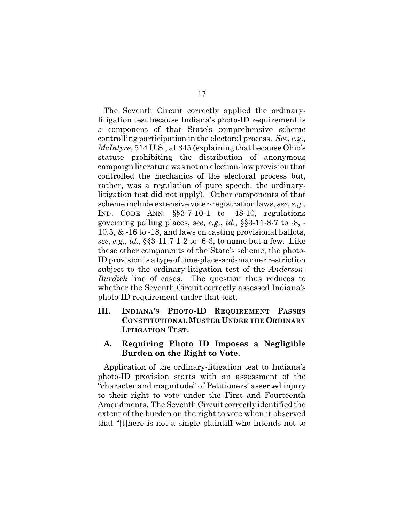The Seventh Circuit correctly applied the ordinarylitigation test because Indiana's photo-ID requirement is a component of that State's comprehensive scheme controlling participation in the electoral process. *See*, *e.g.*, *McIntyre*, 514 U.S., at 345 (explaining that because Ohio's statute prohibiting the distribution of anonymous campaign literature was not an election-law provision that controlled the mechanics of the electoral process but, rather, was a regulation of pure speech, the ordinarylitigation test did not apply). Other components of that scheme include extensive voter-registration laws, *see*, *e.g.*, IND. CODE ANN.  $\S$ \$3-7-10-1 to -48-10, regulations governing polling places, *see*, *e.g.*, *id.*, §§3-11-8-7 to -8, - 10.5, & -16 to -18, and laws on casting provisional ballots, *see*, *e.g*., *id.*, §§3-11.7-1-2 to -6-3, to name but a few. Like these other components of the State's scheme, the photo-ID provision is a type of time-place-and-manner restriction subject to the ordinary-litigation test of the *Anderson-Burdick* line of cases. The question thus reduces to whether the Seventh Circuit correctly assessed Indiana's photo-ID requirement under that test.

- **III. INDIANA'S PHOTO-ID REQUIREMENT PASSES CONSTITUTIONAL MUSTER UNDER THE ORDINARY LITIGATION TEST.**
	- **A. Requiring Photo ID Imposes a Negligible Burden on the Right to Vote.**

Application of the ordinary-litigation test to Indiana's photo-ID provision starts with an assessment of the "character and magnitude" of Petitioners' asserted injury to their right to vote under the First and Fourteenth Amendments. The Seventh Circuit correctly identified the extent of the burden on the right to vote when it observed that "[t]here is not a single plaintiff who intends not to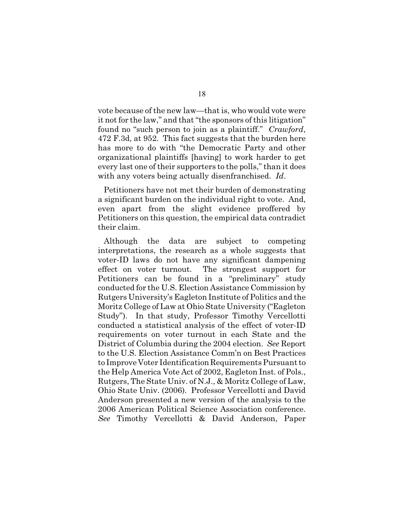vote because of the new law—that is, who would vote were it not for the law," and that "the sponsors of this litigation" found no "such person to join as a plaintiff." *Crawford*, 472 F.3d, at 952. This fact suggests that the burden here has more to do with "the Democratic Party and other organizational plaintiffs [having] to work harder to get every last one of their supporters to the polls," than it does with any voters being actually disenfranchised. *Id*.

Petitioners have not met their burden of demonstrating a significant burden on the individual right to vote. And, even apart from the slight evidence proffered by Petitioners on this question, the empirical data contradict their claim.

Although the data are subject to competing interpretations, the research as a whole suggests that voter-ID laws do not have any significant dampening effect on voter turnout. The strongest support for Petitioners can be found in a "preliminary" study conducted for the U.S. Election Assistance Commission by Rutgers University's Eagleton Institute of Politics and the Moritz College of Law at Ohio State University ("Eagleton Study"). In that study, Professor Timothy Vercellotti conducted a statistical analysis of the effect of voter-ID requirements on voter turnout in each State and the District of Columbia during the 2004 election. *See* Report to the U.S. Election Assistance Comm'n on Best Practices to Improve Voter Identification Requirements Pursuant to the Help America Vote Act of 2002, Eagleton Inst. of Pols., Rutgers, The State Univ. of N.J., & Moritz College of Law, Ohio State Univ. (2006). Professor Vercellotti and David Anderson presented a new version of the analysis to the 2006 American Political Science Association conference. *See* Timothy Vercellotti & David Anderson, Paper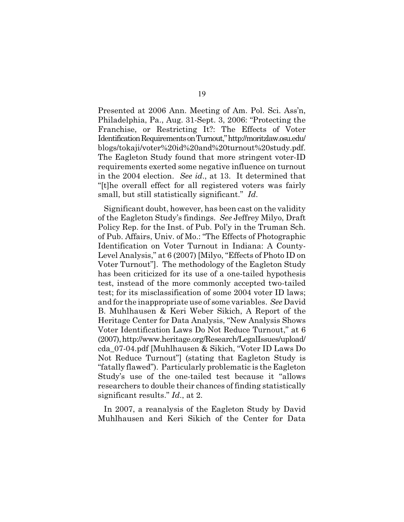Presented at 2006 Ann. Meeting of Am. Pol. Sci. Ass'n, Philadelphia, Pa., Aug. 31-Sept. 3, 2006: "Protecting the Franchise, or Restricting It?: The Effects of Voter Identification Requirements on Turnout," http://moritzlaw.osu.edu/ blogs/tokaji/voter%20id%20and%20turnout%20study.pdf. The Eagleton Study found that more stringent voter-ID requirements exerted some negative influence on turnout in the 2004 election. *See id*., at 13. It determined that "[t]he overall effect for all registered voters was fairly small, but still statistically significant." *Id*.

Significant doubt, however, has been cast on the validity of the Eagleton Study's findings. *See* Jeffrey Milyo, Draft Policy Rep. for the Inst. of Pub. Pol'y in the Truman Sch. of Pub. Affairs, Univ. of Mo.: "The Effects of Photographic Identification on Voter Turnout in Indiana: A County-Level Analysis," at 6 (2007) [Milyo, "Effects of Photo ID on Voter Turnout"]. The methodology of the Eagleton Study has been criticized for its use of a one-tailed hypothesis test, instead of the more commonly accepted two-tailed test; for its misclassification of some 2004 voter ID laws; and for the inappropriate use of some variables. *See* David B. Muhlhausen & Keri Weber Sikich, A Report of the Heritage Center for Data Analysis, "New Analysis Shows Voter Identification Laws Do Not Reduce Turnout," at 6 (2007), http://www.heritage.org/Research/LegalIssues/upload/ cda\_07-04.pdf [Muhlhausen & Sikich, "Voter ID Laws Do Not Reduce Turnout"] (stating that Eagleton Study is "fatally flawed"). Particularly problematic is the Eagleton Study's use of the one-tailed test because it "allows researchers to double their chances of finding statistically significant results." *Id*., at 2.

In 2007, a reanalysis of the Eagleton Study by David Muhlhausen and Keri Sikich of the Center for Data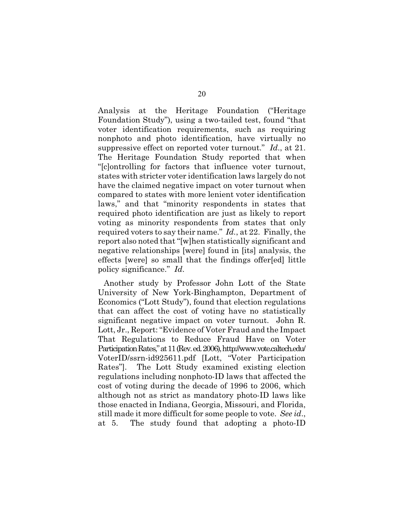Analysis at the Heritage Foundation ("Heritage Foundation Study"), using a two-tailed test, found "that voter identification requirements, such as requiring nonphoto and photo identification, have virtually no suppressive effect on reported voter turnout." *Id*., at 21. The Heritage Foundation Study reported that when "[c]ontrolling for factors that influence voter turnout, states with stricter voter identification laws largely do not have the claimed negative impact on voter turnout when compared to states with more lenient voter identification laws," and that "minority respondents in states that required photo identification are just as likely to report voting as minority respondents from states that only required voters to say their name." *Id.*, at 22. Finally, the report also noted that "[w]hen statistically significant and negative relationships [were] found in [its] analysis, the effects [were] so small that the findings offer[ed] little policy significance." *Id*.

Another study by Professor John Lott of the State University of New York-Binghampton, Department of Economics ("Lott Study"), found that election regulations that can affect the cost of voting have no statistically significant negative impact on voter turnout. John R. Lott, Jr., Report: "Evidence of Voter Fraud and the Impact That Regulations to Reduce Fraud Have on Voter Participation Rates," at 11 (Rev. ed. 2006), http://www.vote.caltech.edu/ VoterID/ssrn-id925611.pdf [Lott, "Voter Participation Rates"]. The Lott Study examined existing election regulations including nonphoto-ID laws that affected the cost of voting during the decade of 1996 to 2006, which although not as strict as mandatory photo-ID laws like those enacted in Indiana, Georgia, Missouri, and Florida, still made it more difficult for some people to vote. *See id*., at 5. The study found that adopting a photo-ID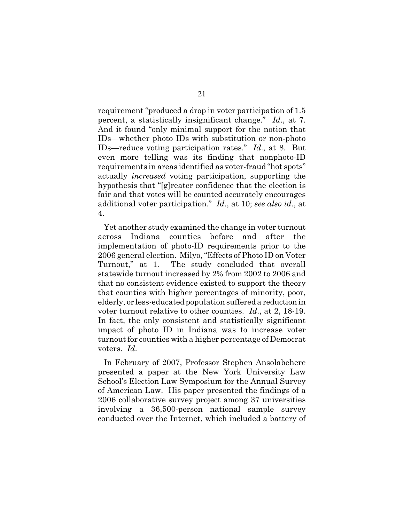requirement "produced a drop in voter participation of 1.5 percent, a statistically insignificant change." *Id*., at 7. And it found "only minimal support for the notion that IDs—whether photo IDs with substitution or non-photo IDs—reduce voting participation rates." *Id*., at 8. But even more telling was its finding that nonphoto-ID requirements in areas identified as voter-fraud "hot spots" actually *increased* voting participation, supporting the hypothesis that "[g]reater confidence that the election is fair and that votes will be counted accurately encourages additional voter participation." *Id*., at 10; *see also id*., at 4.

Yet another study examined the change in voter turnout across Indiana counties before and after the implementation of photo-ID requirements prior to the 2006 general election. Milyo, "Effects of Photo ID on Voter Turnout," at 1. The study concluded that overall statewide turnout increased by 2% from 2002 to 2006 and that no consistent evidence existed to support the theory that counties with higher percentages of minority, poor, elderly, or less-educated population suffered a reduction in voter turnout relative to other counties. *Id*., at 2, 18-19. In fact, the only consistent and statistically significant impact of photo ID in Indiana was to increase voter turnout for counties with a higher percentage of Democrat voters. *Id*.

In February of 2007, Professor Stephen Ansolabehere presented a paper at the New York University Law School's Election Law Symposium for the Annual Survey of American Law. His paper presented the findings of a 2006 collaborative survey project among 37 universities involving a 36,500-person national sample survey conducted over the Internet, which included a battery of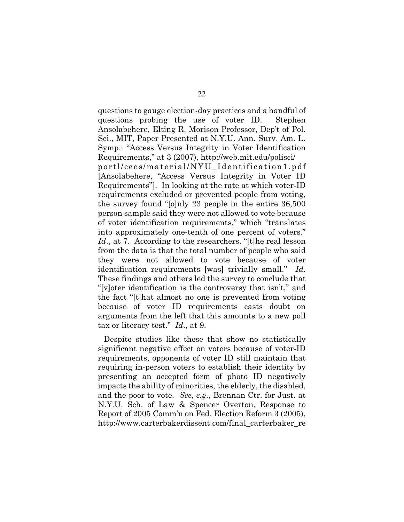questions to gauge election-day practices and a handful of questions probing the use of voter ID. Stephen Ansolabehere, Elting R. Morison Professor, Dep't of Pol. Sci., MIT, Paper Presented at N.Y.U. Ann. Surv. Am. L. Symp.: "Access Versus Integrity in Voter Identification Requirements," at 3 (2007), http://web.mit.edu/polisci/ portl/cces/material/NYU\_Identification1.pdf [Ansolabehere, "Access Versus Integrity in Voter ID Requirements"]. In looking at the rate at which voter-ID requirements excluded or prevented people from voting, the survey found "[o]nly 23 people in the entire 36,500 person sample said they were not allowed to vote because of voter identification requirements," which "translates into approximately one-tenth of one percent of voters." Id., at 7. According to the researchers, "[t]he real lesson from the data is that the total number of people who said they were not allowed to vote because of voter identification requirements [was] trivially small." *Id*. These findings and others led the survey to conclude that "[v]oter identification is the controversy that isn't," and the fact "[t]hat almost no one is prevented from voting because of voter ID requirements casts doubt on arguments from the left that this amounts to a new poll tax or literacy test." *Id*., at 9.

Despite studies like these that show no statistically significant negative effect on voters because of voter-ID requirements, opponents of voter ID still maintain that requiring in-person voters to establish their identity by presenting an accepted form of photo ID negatively impacts the ability of minorities, the elderly, the disabled, and the poor to vote. *See*, *e.g.*, Brennan Ctr. for Just. at N.Y.U. Sch. of Law & Spencer Overton, Response to Report of 2005 Comm'n on Fed. Election Reform 3 (2005), http://www.carterbakerdissent.com/final\_carterbaker\_re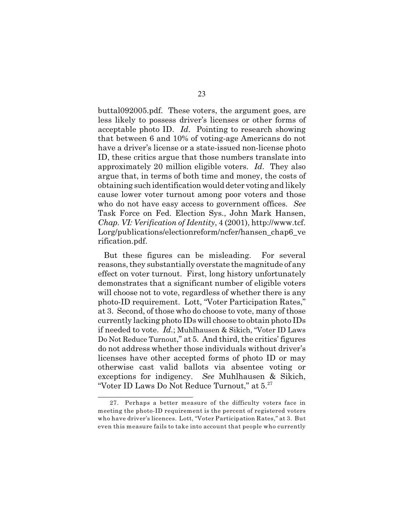buttal092005.pdf. These voters, the argument goes, are less likely to possess driver's licenses or other forms of acceptable photo ID. *Id*. Pointing to research showing that between 6 and 10% of voting-age Americans do not have a driver's license or a state-issued non-license photo ID, these critics argue that those numbers translate into approximately 20 million eligible voters. *Id*. They also argue that, in terms of both time and money, the costs of obtaining such identification would deter voting and likely cause lower voter turnout among poor voters and those who do not have easy access to government offices. *See* Task Force on Fed. Election Sys., John Mark Hansen, *Chap. VI: Verification of Identity*, 4 (2001), http://www.tcf. Lorg/publications/electionreform/ncfer/hansen\_chap6\_ve rification.pdf.

But these figures can be misleading. For several reasons, they substantially overstate the magnitude of any effect on voter turnout. First, long history unfortunately demonstrates that a significant number of eligible voters will choose not to vote, regardless of whether there is any photo-ID requirement. Lott, "Voter Participation Rates," at 3. Second, of those who do choose to vote, many of those currently lacking photo IDs will choose to obtain photo IDs if needed to vote. *Id*.; Muhlhausen & Sikich, "Voter ID Laws Do Not Reduce Turnout," at 5. And third, the critics' figures do not address whether those individuals without driver's licenses have other accepted forms of photo ID or may otherwise cast valid ballots via absentee voting or exceptions for indigency. *See* Muhlhausen & Sikich, "Voter ID Laws Do Not Reduce Turnout," at  $5.^{27}$ 

<sup>27.</sup> Perhaps a better measure of the difficulty voters face in meeting the photo-ID requirement is the percent of registered voters who have driver's licences. Lott, "Voter Participation Rates," at 3. But even this measure fails to take into account that people who currently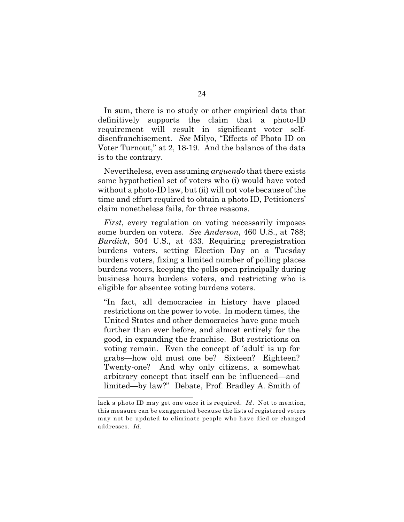In sum, there is no study or other empirical data that definitively supports the claim that a photo-ID requirement will result in significant voter selfdisenfranchisement. *See* Milyo, "Effects of Photo ID on Voter Turnout," at 2, 18-19. And the balance of the data is to the contrary.

Nevertheless, even assuming *arguendo* that there exists some hypothetical set of voters who (i) would have voted without a photo-ID law, but (ii) will not vote because of the time and effort required to obtain a photo ID, Petitioners' claim nonetheless fails, for three reasons.

*First*, every regulation on voting necessarily imposes some burden on voters. *See Anderson*, 460 U.S., at 788; *Burdick*, 504 U.S., at 433. Requiring preregistration burdens voters, setting Election Day on a Tuesday burdens voters, fixing a limited number of polling places burdens voters, keeping the polls open principally during business hours burdens voters, and restricting who is eligible for absentee voting burdens voters.

"In fact, all democracies in history have placed restrictions on the power to vote. In modern times, the United States and other democracies have gone much further than ever before, and almost entirely for the good, in expanding the franchise. But restrictions on voting remain. Even the concept of 'adult' is up for grabs—how old must one be? Sixteen? Eighteen? Twenty-one? And why only citizens, a somewhat arbitrary concept that itself can be influenced—and limited—by law?" Debate, Prof. Bradley A. Smith of

lack a photo ID may get one once it is required. *Id*. Not to mention, this measure can be exaggerated because the lists of registered voters may not be updated to eliminate people who have died or changed addresses. *Id*.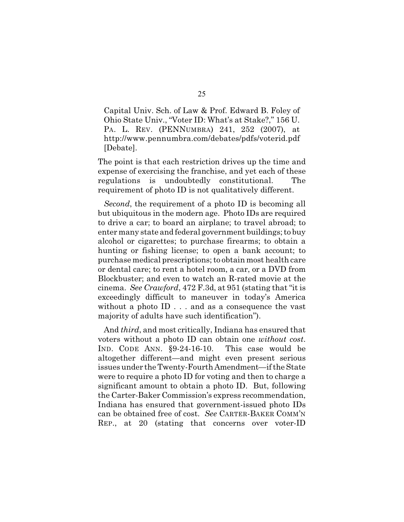Capital Univ. Sch. of Law & Prof. Edward B. Foley of Ohio State Univ., "Voter ID: What's at Stake?," 156 U. PA. L. REV. (PENNUMBRA) 241, 252 (2007), at http://www.pennumbra.com/debates/pdfs/voterid.pdf [Debate].

The point is that each restriction drives up the time and expense of exercising the franchise, and yet each of these regulations is undoubtedly constitutional. The requirement of photo ID is not qualitatively different.

*Second*, the requirement of a photo ID is becoming all but ubiquitous in the modern age. Photo IDs are required to drive a car; to board an airplane; to travel abroad; to enter many state and federal government buildings; to buy alcohol or cigarettes; to purchase firearms; to obtain a hunting or fishing license; to open a bank account; to purchase medical prescriptions; to obtain most health care or dental care; to rent a hotel room, a car, or a DVD from Blockbuster; and even to watch an R-rated movie at the cinema. *See Crawford*, 472 F.3d, at 951 (stating that "it is exceedingly difficult to maneuver in today's America without a photo ID . . . and as a consequence the vast majority of adults have such identification").

And *third*, and most critically, Indiana has ensured that voters without a photo ID can obtain one *without cost*. IND. CODE ANN. §9-24-16-10. This case would be altogether different—and might even present serious issues under the Twenty-Fourth Amendment—if the State were to require a photo ID for voting and then to charge a significant amount to obtain a photo ID. But, following the Carter-Baker Commission's express recommendation, Indiana has ensured that government-issued photo IDs can be obtained free of cost. *See* CARTER-BAKER COMM'N REP., at 20 (stating that concerns over voter-ID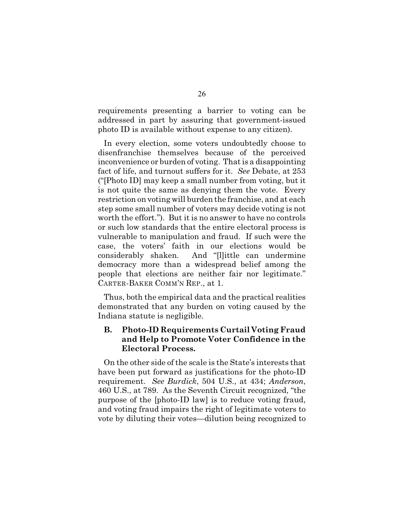requirements presenting a barrier to voting can be addressed in part by assuring that government-issued photo ID is available without expense to any citizen).

In every election, some voters undoubtedly choose to disenfranchise themselves because of the perceived inconvenience or burden of voting. That is a disappointing fact of life, and turnout suffers for it. *See* Debate, at 253 ("[Photo ID] may keep a small number from voting, but it is not quite the same as denying them the vote. Every restriction on voting will burden the franchise, and at each step some small number of voters may decide voting is not worth the effort."). But it is no answer to have no controls or such low standards that the entire electoral process is vulnerable to manipulation and fraud. If such were the case, the voters' faith in our elections would be considerably shaken. And "[l]ittle can undermine democracy more than a widespread belief among the people that elections are neither fair nor legitimate." CARTER-BAKER COMM'N REP., at 1.

Thus, both the empirical data and the practical realities demonstrated that any burden on voting caused by the Indiana statute is negligible.

# **B. Photo-ID Requirements Curtail Voting Fraud and Help to Promote Voter Confidence in the Electoral Process.**

On the other side ofthe scale is the State's interests that have been put forward as justifications for the photo-ID requirement. *See Burdick*, 504 U.S., at 434; *Anderson*, 460 U.S., at 789. As the Seventh Circuit recognized, "the purpose of the [photo-ID law] is to reduce voting fraud, and voting fraud impairs the right of legitimate voters to vote by diluting their votes—dilution being recognized to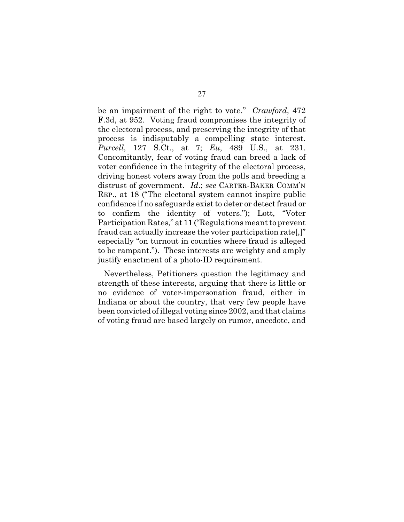be an impairment of the right to vote." *Crawford*, 472 F.3d, at 952. Voting fraud compromises the integrity of the electoral process, and preserving the integrity of that process is indisputably a compelling state interest. *Purcell*, 127 S.Ct., at 7; *Eu*, 489 U.S., at 231. Concomitantly, fear of voting fraud can breed a lack of voter confidence in the integrity of the electoral process, driving honest voters away from the polls and breeding a distrust of government. *Id*.; *see* CARTER-BAKER COMM'N REP., at 18 ("The electoral system cannot inspire public confidence if no safeguards exist to deter or detect fraud or to confirm the identity of voters."); Lott, "Voter Participation Rates," at 11 ("Regulations meant to prevent fraud can actually increase the voter participation rate[,]" especially "on turnout in counties where fraud is alleged to be rampant."). These interests are weighty and amply justify enactment of a photo-ID requirement.

Nevertheless, Petitioners question the legitimacy and strength of these interests, arguing that there is little or no evidence of voter-impersonation fraud, either in Indiana or about the country, that very few people have been convicted of illegal voting since 2002, and that claims of voting fraud are based largely on rumor, anecdote, and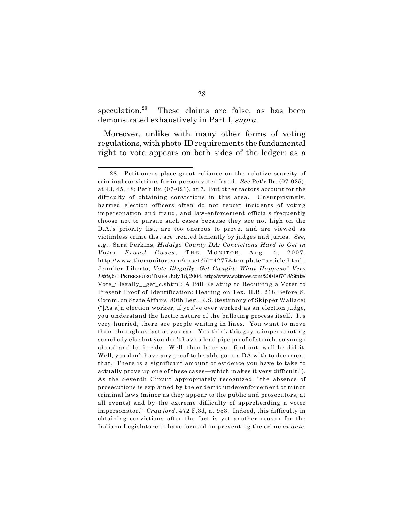speculation. $28$  These claims are false, as has been demonstrated exhaustively in Part I, *supra*.

Moreover, unlike with many other forms of voting regulations, with photo-ID requirements the fundamental right to vote appears on both sides of the ledger: as a

<sup>28.</sup> Petitioners place great reliance on the relative scarcity of criminal convictions for in-person voter fraud. *See* Pet'r Br. (07-025), at 43, 45, 48; Pet'r Br. (07-021), at 7. But other factors account for the difficulty of obtaining convictions in this area. Unsurprisingly, harried election officers often do not report incidents of voting impersonation and fraud, and law-enforcement officials frequently choose not to pursue such cases because they are not high on the D.A.'s priority list, are too onerous to prove, and are viewed as victimless crime that are treated leniently by judges and juries. *See*, *e.g.*, Sara Perkins, *Hidalgo County DA: Convictions Hard to Get in Voter Fraud Cases*, THE MONITOR, Aug. 4, 2007, http://www.themonitor.com/onset?id=4277&template=article.html.; Jennifer Liberto, *Vote Illegally, Get Caught: What Happens? Very Little*, ST.PETERSBURG TIMES, July 18, 2004, http://www.sptimes.com/2004/07/18/State/ Vote\_illegally\_\_get\_c.shtml; A Bill Relating to Requiring a Voter to Present Proof of Identification: Hearing on Tex. H.B. 218 Before S. Comm. on State Affairs, 80th Leg., R.S. (testimony of Skipper Wallace) ("[As a]n election worker, if you've ever worked as an election judge, you understand the hectic nature of the balloting process itself. It's very hurried, there are people waiting in lines. You want to move them through as fast as you can. You think this guy is impersonating somebody else but you don't have a lead pipe proof of stench, so you go ahead and let it ride. Well, then later you find out, well he did it. Well, you don't have any proof to be able go to a DA with to document that. There is a significant amount of evidence you have to take to actually prove up one of these cases—which makes it very difficult."). As the Seventh Circuit appropriately recognized, "the absence of prosecutions is explained by the endemic underenforcement of minor criminal laws (minor as they appear to the public and prosecutors, at all events) and by the extreme difficulty of apprehending a voter impersonator." *Crawford*, 472 F.3d, at 953. Indeed, this difficulty in obtaining convictions after the fact is yet another reason for the Indiana Legislature to have focused on preventing the crime *ex ante*.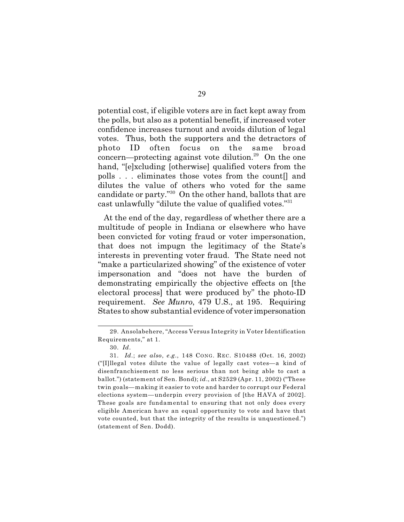potential cost, if eligible voters are in fact kept away from the polls, but also as a potential benefit, if increased voter confidence increases turnout and avoids dilution of legal votes. Thus, both the supporters and the detractors of photo ID often focus on the same broad concern—protecting against vote dilution.<sup>29</sup> On the one hand, "[e]xcluding [otherwise] qualified voters from the polls . . . eliminates those votes from the count[] and dilutes the value of others who voted for the same candidate or party."<sup>30</sup> On the other hand, ballots that are cast unlawfully "dilute the value of qualified votes."<sup>31</sup>

At the end of the day, regardless of whether there are a multitude of people in Indiana or elsewhere who have been convicted for voting fraud or voter impersonation, that does not impugn the legitimacy of the State's interests in preventing voter fraud. The State need not "make a particularized showing" of the existence of voter impersonation and "does not have the burden of demonstrating empirically the objective effects on [the electoral process] that were produced by" the photo-ID requirement. *See Munro*, 479 U.S., at 195. Requiring States to show substantial evidence of voter impersonation

<sup>29.</sup> Ansolabehere, "Access Versus Integrity in Voter Identification Requirements," at 1.

<sup>30.</sup> *Id*.

<sup>31.</sup> *Id.*; *see also*, *e.g.*, 148 CONG. REC. S10488 (Oct. 16, 2002) ("[I]llegal votes dilute the value of legally cast votes—a kind of disenfranchisement no less serious than not being able to cast a ballot.") (statement of Sen. Bond); *id*., at S2529 (Apr. 11, 2002) ("These twin goals—making it easier to vote and harder to corrupt our Federal elections system—underpin every provision of [the HAVA of 2002]. These goals are fundamental to ensuring that not only does every eligible American have an equal opportunity to vote and have that vote counted, but that the integrity of the results is unquestioned.") (statement of Sen. Dodd).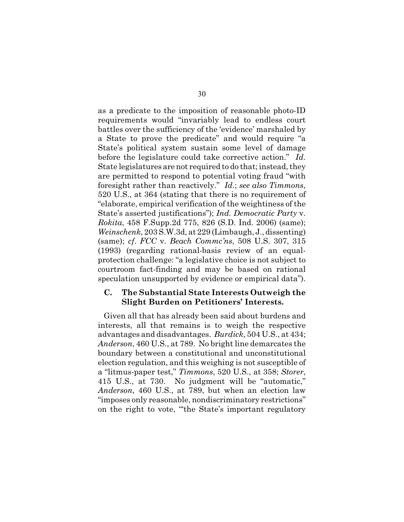as a predicate to the imposition of reasonable photo-ID requirements would "invariably lead to endless court battles over the sufficiency of the 'evidence' marshaled by a State to prove the predicate" and would require "a State's political system sustain some level of damage before the legislature could take corrective action." *Id*. State legislatures are not required to do that; instead, they are permitted to respond to potential voting fraud "with foresight rather than reactively." *Id*.; *see also Timmons*, 520 U.S., at 364 (stating that there is no requirement of "elaborate, empirical verification of the weightiness of the State's asserted justifications"); *Ind. Democratic Party* v. *Rokita*, 458 F.Supp.2d 775, 826 (S.D. Ind. 2006) (same); *Weinschenk*, 203 S.W.3d, at 229 (Limbaugh, J., dissenting) (same); *cf*. *FCC* v. *Beach Commc'ns*, 508 U.S. 307, 315 (1993) (regarding rational-basis review of an equalprotection challenge: "a legislative choice is not subject to courtroom fact-finding and may be based on rational speculation unsupported by evidence or empirical data").

#### **C. The Substantial State Interests Outweigh the Slight Burden on Petitioners' Interests.**

Given all that has already been said about burdens and interests, all that remains is to weigh the respective advantages and disadvantages. *Burdick*, 504 U.S., at 434; *Anderson*, 460 U.S., at 789. No bright line demarcates the boundary between a constitutional and unconstitutional election regulation, and this weighing is not susceptible of a "litmus-paper test," *Timmons*, 520 U.S., at 358; *Storer*, 415 U.S., at 730. No judgment will be "automatic," *Anderson*, 460 U.S., at 789, but when an election law "imposes only reasonable, nondiscriminatory restrictions" on the right to vote, "'the State's important regulatory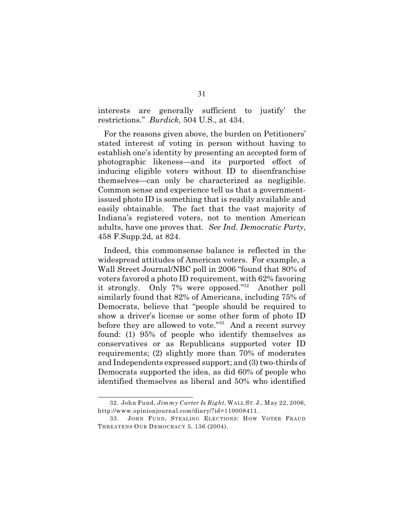interests are generally sufficient to justify' the restrictions." *Burdick*, 504 U.S., at 434.

For the reasons given above, the burden on Petitioners' stated interest of voting in person without having to establish one's identity by presenting an accepted form of photographic likeness—and its purported effect of inducing eligible voters without ID to disenfranchise themselves—can only be characterized as negligible. Common sense and experience tell us that a governmentissued photo ID is something that is readily available and easily obtainable. The fact that the vast majority of Indiana's registered voters, not to mention American adults, have one proves that. *See Ind. Democratic Party*, 458 F.Supp.2d, at 824.

Indeed, this commonsense balance is reflected in the widespread attitudes of American voters. For example, a Wall Street Journal/NBC poll in 2006 "found that 80% of voters favored a photo ID requirement, with 62% favoring it strongly. Only 7% were opposed." $32$  Another poll similarly found that 82% of Americans, including 75% of Democrats, believe that "people should be required to show a driver's license or some other form of photo ID before they are allowed to vote." $33$  And a recent survey found: (1) 95% of people who identify themselves as conservatives or as Republicans supported voter ID requirements; (2) slightly more than 70% of moderates and Independents expressed support; and (3) two-thirds of Democrats supported the idea, as did 60% of people who identified themselves as liberal and 50% who identified

<sup>32.</sup> John Fund, *Jimmy Carter Is Right*, WALL ST. J., May 22, 2006, http://www.opinionjournal.com/diary/?id=110008411.

<sup>33.</sup> JOHN FUND, STEALING ELECTIONS: HOW VOTER FRAUD THREATENS OUR DEMOCRACY 5, 136 (2004).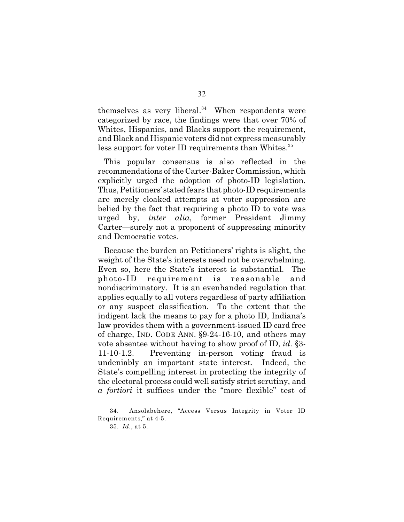themselves as very liberal. $34$  When respondents were categorized by race, the findings were that over 70% of Whites, Hispanics, and Blacks support the requirement, and Black and Hispanic voters did not express measurably less support for voter ID requirements than Whites.<sup>35</sup>

This popular consensus is also reflected in the recommendations of the Carter-Baker Commission, which explicitly urged the adoption of photo-ID legislation. Thus, Petitioners' stated fears that photo-ID requirements are merely cloaked attempts at voter suppression are belied by the fact that requiring a photo ID to vote was urged by, *inter alia*, former President Jimmy Carter—surely not a proponent of suppressing minority and Democratic votes.

Because the burden on Petitioners' rights is slight, the weight of the State's interests need not be overwhelming. Even so, here the State's interest is substantial. The photo-ID requirement is reasonable and nondiscriminatory. It is an evenhanded regulation that applies equally to all voters regardless of party affiliation or any suspect classification. To the extent that the indigent lack the means to pay for a photo ID, Indiana's law provides them with a government-issued ID card free of charge, IND. CODE ANN. §9-24-16-10, and others may vote absentee without having to show proof of ID, *id*. §3- 11-10-1.2. Preventing in-person voting fraud is undeniably an important state interest. Indeed, the State's compelling interest in protecting the integrity of the electoral process could well satisfy strict scrutiny, and *a fortiori* it suffices under the "more flexible" test of

<sup>34.</sup> Ansolabehere, "Access Versus Integrity in Voter ID Requirements," at 4-5.

<sup>35.</sup> *Id.*, at 5.